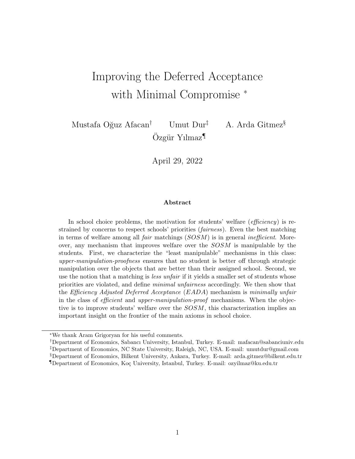# Improving the Deferred Acceptance with Minimal Compromise  $*$

Mustafa Oğuz Afacan<sup>†</sup> Umut Dur<sup>‡</sup> A. Arda Gitmez<sup>§</sup>  $Özgür Yılmaz<sup>1</sup>$ 

April 29, 2022

#### Abstract

In school choice problems, the motivation for students' welfare (*efficiency*) is restrained by concerns to respect schools' priorities (fairness). Even the best matching in terms of welfare among all *fair* matchings  $(SOSM)$  is in general *inefficient*. Moreover, any mechanism that improves welfare over the SOSM is manipulable by the students. First, we characterize the "least manipulable" mechanisms in this class: upper-manipulation-proofness ensures that no student is better off through strategic manipulation over the objects that are better than their assigned school. Second, we use the notion that a matching is *less unfair* if it yields a smaller set of students whose priorities are violated, and define minimal unfairness accordingly. We then show that the Efficiency Adjusted Deferred Acceptance (EADA) mechanism is minimally unfair in the class of *efficient* and *upper-manipulation-proof* mechanisms. When the objective is to improve students' welfare over the  $SOSM$ , this characterization implies an important insight on the frontier of the main axioms in school choice.

<sup>∗</sup>We thank Aram Grigoryan for his useful comments.

<sup>†</sup>Department of Economics, Sabancı University, Istanbul, Turkey. E-mail: mafacan@sabanciuniv.edu ‡Department of Economics, NC State University, Raleigh, NC, USA. E-mail: umutdur@gmail.com §Department of Economics, Bilkent University, Ankara, Turkey. E-mail: arda.gitmez@bilkent.edu.tr ¶Department of Economics, Ko¸c University, Istanbul, Turkey. E-mail: ozyilmaz@ku.edu.tr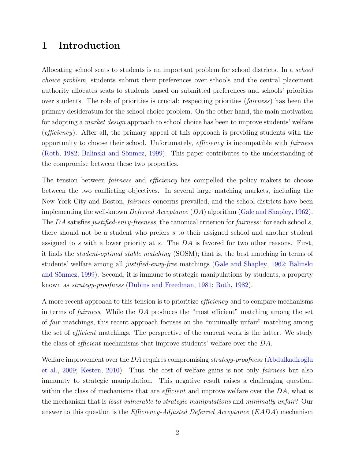# 1 Introduction

Allocating school seats to students is an important problem for school districts. In a school choice problem, students submit their preferences over schools and the central placement authority allocates seats to students based on submitted preferences and schools' priorities over students. The role of priorities is crucial: respecting priorities (fairness) has been the primary desideratum for the school choice problem. On the other hand, the main motivation for adopting a market design approach to school choice has been to improve students' welfare (efficiency). After all, the primary appeal of this approach is providing students with the opportunity to choose their school. Unfortunately, efficiency is incompatible with fairness [\(Roth,](#page-34-0) [1982;](#page-34-0) Balinski and Sönmez, [1999\)](#page-33-0). This paper contributes to the understanding of the compromise between these two properties.

The tension between *fairness* and *efficiency* has compelled the policy makers to choose between the two conflicting objectives. In several large matching markets, including the New York City and Boston, fairness concerns prevailed, and the school districts have been implementing the well-known *Deferred Acceptance*  $(DA)$  algorithm [\(Gale and Shapley,](#page-34-1) [1962\)](#page-34-1). The DA satisfies justified-envy-freeness, the canonical criterion for fairness: for each school s, there should not be a student who prefers s to their assigned school and another student assigned to s with a lower priority at s. The  $DA$  is favored for two other reasons. First, it finds the student-optimal stable matching (SOSM); that is, the best matching in terms of students' welfare among all justified-envy-free matchings [\(Gale and Shapley,](#page-34-1) [1962;](#page-34-1) [Balinski](#page-33-0) and Sönmez, [1999\)](#page-33-0). Second, it is immune to strategic manipulations by students, a property known as strategy-proofness [\(Dubins and Freedman,](#page-34-2) [1981;](#page-34-2) [Roth,](#page-34-0) [1982\)](#page-34-0).

A more recent approach to this tension is to prioritize efficiency and to compare mechanisms in terms of fairness. While the DA produces the "most efficient" matching among the set of fair matchings, this recent approach focuses on the "minimally unfair" matching among the set of *efficient* matchings. The perspective of the current work is the latter. We study the class of efficient mechanisms that improve students' welfare over the DA.

Welfare improvement over the  $DA$  requires compromising strategy-proofness (Abdulkadiroğlu [et al.,](#page-33-1) [2009;](#page-33-1) [Kesten,](#page-34-3) [2010\)](#page-34-3). Thus, the cost of welfare gains is not only fairness but also immunity to strategic manipulation. This negative result raises a challenging question: within the class of mechanisms that are *efficient* and improve welfare over the  $DA$ , what is the mechanism that is least vulnerable to strategic manipulations and minimally unfair? Our answer to this question is the *Efficiency-Adjusted Deferred Acceptance* (*EADA*) mechanism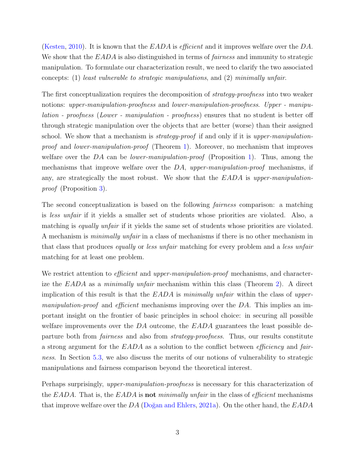[\(Kesten,](#page-34-3) [2010\)](#page-34-3). It is known that the  $EADA$  is *efficient* and it improves welfare over the DA. We show that the EADA is also distinguished in terms of *fairness* and immunity to strategic manipulation. To formulate our characterization result, we need to clarify the two associated concepts: (1) least vulnerable to strategic manipulations, and (2) minimally unfair.

The first conceptualization requires the decomposition of *strategy-proofness* into two weaker notions: upper-manipulation-proofness and lower-manipulation-proofness. Upper - manipulation - proofness (Lower - manipulation - proofness) ensures that no student is better off through strategic manipulation over the objects that are better (worse) than their assigned school. We show that a mechanism is *strategy-proof* if and only if it is upper-manipulation-proof and lower-manipulation-proof (Theorem [1\)](#page-7-0). Moreover, no mechanism that improves welfare over the DA can be *lower-manipulation-proof* (Proposition [1\)](#page-7-1). Thus, among the mechanisms that improve welfare over the  $DA$ , upper-manipulation-proof mechanisms, if any, are strategically the most robust. We show that the EADA is upper-manipulationproof (Proposition [3\)](#page-11-0).

The second conceptualization is based on the following fairness comparison: a matching is less unfair if it yields a smaller set of students whose priorities are violated. Also, a matching is *equally unfair* if it yields the same set of students whose priorities are violated. A mechanism is minimally unfair in a class of mechanisms if there is no other mechanism in that class that produces equally or less unfair matching for every problem and a less unfair matching for at least one problem.

We restrict attention to *efficient* and *upper-manipulation-proof* mechanisms, and characterize the EADA as a *minimally unfair* mechanism within this class (Theorem [2\)](#page-12-0). A direct implication of this result is that the  $EADA$  is minimally unfair within the class of upper*manipulation-proof* and *efficient* mechanisms improving over the  $DA$ . This implies an important insight on the frontier of basic principles in school choice: in securing all possible welfare improvements over the  $DA$  outcome, the  $EADA$  guarantees the least possible departure both from *fairness* and also from *strategy-proofness*. Thus, our results constitute a strong argument for the EADA as a solution to the conflict between efficiency and fairness. In Section [5.3,](#page-12-1) we also discuss the merits of our notions of vulnerability to strategic manipulations and fairness comparison beyond the theoretical interest.

Perhaps surprisingly, *upper-manipulation-proofness* is necessary for this characterization of the EADA. That is, the EADA is **not** minimally unfair in the class of *efficient* mechanisms that improve welfare over the DA (Doğan and Ehlers, [2021a\)](#page-33-2). On the other hand, the  $EADA$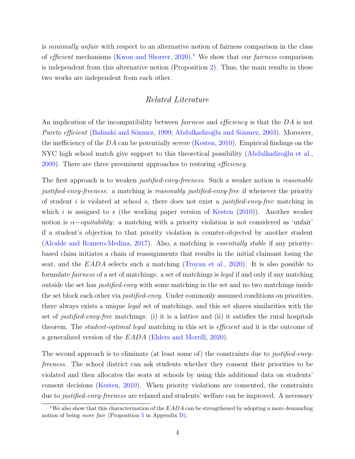is *minimally unfair* with respect to an alternative notion of fairness comparison in the class of efficient mechanisms [\(Kwon and Shorrer,](#page-34-4) [2020\)](#page-34-4).<sup>[1](#page-3-0)</sup> We show that our *fairness* comparison is independent from this alternative notion (Proposition [2\)](#page-9-0). Thus, the main results in these two works are independent from each other.

### Related Literature

An implication of the incompatibility between *fairness* and *efficiency* is that the DA is not Pareto efficient (Balinski and Sönmez, [1999;](#page-33-0) Abdulkadiroğlu and Sönmez, [2003\)](#page-33-3). Moreover, the inefficiency of the DA can be potentially severe [\(Kesten,](#page-34-3) [2010\)](#page-34-3). Empirical findings on the NYC high school match give support to this theoretical possibility (Abdulkadiroğlu et al., [2009\)](#page-33-1). There are three preeminent approaches to restoring efficiency.

The first approach is to weaken *justified-envy-freeness*. Such a weaker notion is *reasonable* justified-envy-freeness: a matching is reasonably justified-envy-free if whenever the priority of student i is violated at school s, there does not exist a justified-envy-free matching in which i is assigned to s (the working paper version of [Kesten](#page-34-3)  $(2010)$ ). Another weaker notion is  $\alpha$ -equitability: a matching with a priority violation is not considered as 'unfair' if a student's objection to that priority violation is counter-objected by another student [\(Alcalde and Romero-Medina,](#page-33-4) [2017\)](#page-33-4). Also, a matching is essentially stable if any prioritybased claim initiates a chain of reassignments that results in the initial claimant losing the seat, and the  $EADA$  selects such a matching [\(Troyan et al.,](#page-35-0) [2020\)](#page-35-0). It is also possible to formulate fairness of a set of matchings: a set of matchings is legal if and only if any matching outside the set has justified-envy with some matching in the set and no two matchings inside the set block each other via *justified-envy*. Under commonly assumed conditions on priorities, there always exists a unique legal set of matchings, and this set shares similarities with the set of *justified-envy-free* matchings: (i) it is a lattice and (ii) it satisfies the rural hospitals theorem. The *student-optimal legal* matching in this set is *efficient* and it is the outcome of a generalized version of the EADA [\(Ehlers and Morrill,](#page-34-5) [2020\)](#page-34-5).

The second approach is to eliminate (at least some of) the constraints due to *justified-envy*freeness. The school district can ask students whether they consent their priorities to be violated and then allocates the seats at schools by using this additional data on students' consent decisions [\(Kesten,](#page-34-3) [2010\)](#page-34-3). When priority violations are consented, the constraints due to *justified-envy-freeness* are relaxed and students' welfare can be improved. A necessary

<span id="page-3-0"></span><sup>&</sup>lt;sup>1</sup>We also show that this characterization of the  $EADA$  can be strengthened by adopting a more demanding notion of being *more fair* (Proposition  $5$  in Appendix  $D$ ).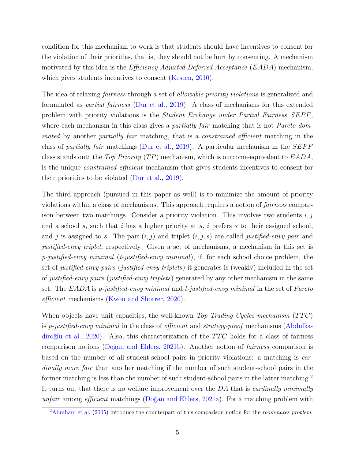condition for this mechanism to work is that students should have incentives to consent for the violation of their priorities, that is, they should not be hurt by consenting. A mechanism motivated by this idea is the *Efficiency Adjusted Deferred Acceptance* (*EADA*) mechanism, which gives students incentives to consent [\(Kesten,](#page-34-3) [2010\)](#page-34-3).

The idea of relaxing *fairness* through a set of *allowable priority violations* is generalized and formulated as partial fairness [\(Dur et al.,](#page-34-6) [2019\)](#page-34-6). A class of mechanisms for this extended problem with priority violations is the *Student Exchange under Partial Fairness SEPF*, where each mechanism in this class gives a *partially fair* matching that is not *Pareto dom*inated by another partially fair matching, that is a *constrained efficient* matching in the class of partially fair matchings [\(Dur et al.,](#page-34-6) [2019\)](#page-34-6). A particular mechanism in the  $SEPF$ class stands out: the Top Priority  $(TP)$  mechanism, which is outcome-equivalent to  $EADA$ , is the unique constrained efficient mechanism that gives students incentives to consent for their priorities to be violated [\(Dur et al.,](#page-34-6) [2019\)](#page-34-6).

The third approach (pursued in this paper as well) is to minimize the amount of priority violations within a class of mechanisms. This approach requires a notion of fairness comparison between two matchings. Consider a priority violation. This involves two students  $i, j$ and a school  $s$ , such that  $i$  has a higher priority at  $s$ ,  $i$  prefers  $s$  to their assigned school, and j is assigned to s. The pair  $(i, j)$  and triplet  $(i, j, s)$  are called justified-envy pair and justified-envy triplet, respectively. Given a set of mechanisms, a mechanism in this set is  $p$ -justified-envy minimal (t-justified-envy minimal), if, for each school choice problem, the set of justified-envy pairs (justified-envy triplets) it generates is (weakly) included in the set of justified-envy pairs (justified-envy triplets) generated by any other mechanism in the same set. The  $EADA$  is p-justified-envy minimal and t-justified-envy minimal in the set of Pareto efficient mechanisms [\(Kwon and Shorrer,](#page-34-4) [2020\)](#page-34-4).

When objects have unit capacities, the well-known Top Trading Cycles mechanism  $(TTC)$ is p-justified-envy minimal in the class of efficient and strategy-proof mechanisms [\(Abdulka-](#page-33-5)diroğlu et al., [2020\)](#page-33-5). Also, this characterization of the  $TTC$  holds for a class of fairness comparison notions (Doğan and Ehlers, [2021b\)](#page-34-7). Another notion of *fairness* comparison is based on the number of all student-school pairs in priority violations: a matching is cardinally more fair than another matching if the number of such student-school pairs in the former matching is less than the number of such student-school pairs in the latter matching.<sup>[2](#page-4-0)</sup> It turns out that there is no welfare improvement over the DA that is *cardinally minimally* unfair among efficient matchings (Doğan and Ehlers, [2021a\)](#page-33-2). For a matching problem with

<span id="page-4-0"></span> $2$ [Abraham et al.](#page-33-6) [\(2005\)](#page-33-6) introduce the counterpart of this comparison notion for the *roommates problem*.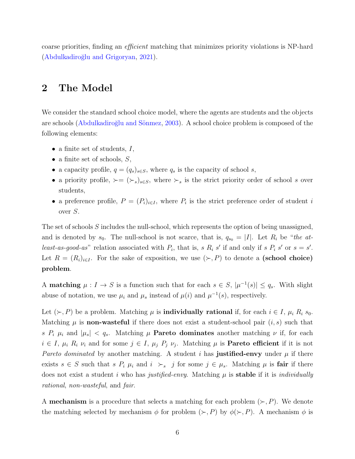coarse priorities, finding an efficient matching that minimizes priority violations is NP-hard (Abdulkadiroğlu and Grigoryan, [2021\)](#page-33-7).

# <span id="page-5-0"></span>2 The Model

We consider the standard school choice model, where the agents are students and the objects are schools (Abdulkadiroğlu and Sönmez, [2003\)](#page-33-3). A school choice problem is composed of the following elements:

- a finite set of students,  $I$ ,
- a finite set of schools,  $S$ ,
- a capacity profile,  $q = (q_s)_{s \in S}$ , where  $q_s$  is the capacity of school s,
- a priority profile,  $\succ = (\succ_s)_{s \in S}$ , where  $\succ_s$  is the strict priority order of school s over students,
- a preference profile,  $P = (P_i)_{i \in I}$ , where  $P_i$  is the strict preference order of student i over S.

The set of schools S includes the null-school, which represents the option of being unassigned, and is denoted by  $s_0$ . The null-school is not scarce, that is,  $q_{s_0} = |I|$ . Let  $R_i$  be "the atleast-as-good-as" relation associated with  $P_i$ , that is, s  $R_i$  s' if and only if s  $P_i$  s' or  $s = s'$ . Let  $R = (R_i)_{i \in I}$ . For the sake of exposition, we use  $(\succ, P)$  to denote a (school choice) problem.

A **matching**  $\mu: I \to S$  is a function such that for each  $s \in S$ ,  $|\mu^{-1}(s)| \leq q_s$ . With slight abuse of notation, we use  $\mu_i$  and  $\mu_s$  instead of  $\mu(i)$  and  $\mu^{-1}(s)$ , respectively.

Let  $(\succ, P)$  be a problem. Matching  $\mu$  is **individually rational** if, for each  $i \in I$ ,  $\mu_i R_i s_0$ . Matching  $\mu$  is **non-wasteful** if there does not exist a student-school pair  $(i, s)$  such that s  $P_i$   $\mu_i$  and  $|\mu_s|$  <  $q_s$ . Matching  $\mu$  **Pareto dominates** another matching  $\nu$  if, for each  $i \in I$ ,  $\mu_i$   $R_i$   $\nu_i$  and for some  $j \in I$ ,  $\mu_j$   $P_j$   $\nu_j$ . Matching  $\mu$  is **Pareto efficient** if it is not Pareto dominated by another matching. A student i has justified-envy under  $\mu$  if there exists  $s \in S$  such that  $s P_i \mu_i$  and  $i \succ_s j$  for some  $j \in \mu_s$ . Matching  $\mu$  is **fair** if there does not exist a student i who has justified-envy. Matching  $\mu$  is **stable** if it is *individually* rational, non-wasteful, and fair.

A **mechanism** is a procedure that selects a matching for each problem  $(\succ, P)$ . We denote the matching selected by mechanism  $\phi$  for problem  $(\succ, P)$  by  $\phi(\succ, P)$ . A mechanism  $\phi$  is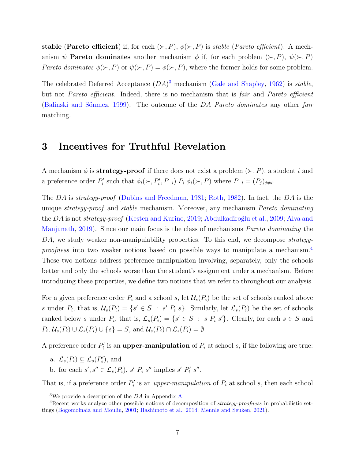**stable (Pareto efficient)** if, for each  $(\succ, P)$ ,  $\phi(\succ, P)$  is *stable (Pareto efficient*). A mechanism  $\psi$  **Pareto dominates** another mechanism  $\phi$  if, for each problem  $(\succ, P)$ ,  $\psi(\succ, P)$ Pareto dominates  $\phi(\succ, P)$  or  $\psi(\succ, P) = \phi(\succ, P)$ , where the former holds for some problem.

The celebrated Deferred Acceptance  $(DA)^3$  $(DA)^3$  mechanism [\(Gale and Shapley,](#page-34-1) [1962\)](#page-34-1) is stable, but not Pareto efficient. Indeed, there is no mechanism that is fair and Pareto efficient (Balinski and Sönmez, [1999\)](#page-33-0). The outcome of the  $DA$  Pareto dominates any other fair matching.

## 3 Incentives for Truthful Revelation

A mechanism  $\phi$  is **strategy-proof** if there does not exist a problem  $(\succ, P)$ , a student i and a preference order  $P'_i$  such that  $\phi_i(\succ, P'_i, P_{-i})$   $P_i \phi_i(\succ, P)$  where  $P_{-i} = (P_j)_{j \neq i}$ .

The DA is strategy-proof [\(Dubins and Freedman,](#page-34-2) [1981;](#page-34-2) [Roth,](#page-34-0) [1982\)](#page-34-0). In fact, the DA is the unique *strategy-proof* and *stable* mechanism. Moreover, any mechanism *Pareto dominating* the DA is not *strategy-proof* [\(Kesten and Kurino,](#page-34-8) [2019;](#page-34-8) Abdulkadiroğlu et al., [2009;](#page-33-1) [Alva and](#page-33-8) [Manjunath,](#page-33-8) [2019\)](#page-33-8). Since our main focus is the class of mechanisms Pareto dominating the DA, we study weaker non-manipulability properties. To this end, we decompose *strategy*-proofness into two weaker notions based on possible ways to manipulate a mechanism.<sup>[4](#page-6-1)</sup> These two notions address preference manipulation involving, separately, only the schools better and only the schools worse than the student's assignment under a mechanism. Before introducing these properties, we define two notions that we refer to throughout our analysis.

For a given preference order  $P_i$  and a school s, let  $\mathcal{U}_s(P_i)$  be the set of schools ranked above s under  $P_i$ , that is,  $\mathcal{U}_s(P_i) = \{s' \in S : s' P_i s\}$ . Similarly, let  $\mathcal{L}_s(P_i)$  be the set of schools ranked below s under  $P_i$ , that is,  $\mathcal{L}_s(P_i) = \{s' \in S : s P_i s'\}$ . Clearly, for each  $s \in S$  and  $P_i$ ,  $\mathcal{U}_s(P_i) \cup \mathcal{L}_s(P_i) \cup \{s\} = S$ , and  $\mathcal{U}_s(P_i) \cap \mathcal{L}_s(P_i) = \emptyset$ 

A preference order  $P_i'$  is an **upper-manipulation** of  $P_i$  at school s, if the following are true:

- a.  $\mathcal{L}_s(P_i) \subseteq \mathcal{L}_s(P'_i)$ , and
- b. for each  $s', s'' \in \mathcal{L}_s(P_i)$ ,  $s' P_i s''$  implies  $s' P'_i s''$ .

That is, if a preference order  $P_i'$  is an upper-manipulation of  $P_i$  at school s, then each school

<span id="page-6-1"></span><span id="page-6-0"></span><sup>&</sup>lt;sup>3</sup>We provide a description of the  $DA$  in Appendix [A.](#page-15-0)

<sup>&</sup>lt;sup>4</sup>Recent works analyze other possible notions of decomposition of *strategy-proofness* in probabilistic settings [\(Bogomolnaia and Moulin,](#page-33-9) [2001;](#page-33-9) [Hashimoto et al.,](#page-34-9) [2014;](#page-34-9) [Mennle and Seuken,](#page-34-10) [2021\)](#page-34-10).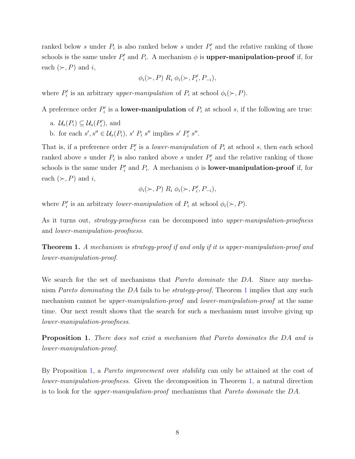ranked below s under  $P_i$  is also ranked below s under  $P'_i$  and the relative ranking of those schools is the same under  $P'_i$  and  $P_i$ . A mechanism  $\phi$  is **upper-manipulation-proof** if, for each  $(\succ, P)$  and i,

$$
\phi_i(\succ,P) \; R_i \; \phi_i(\succ,P'_i,P_{-i}),
$$

where  $P'_i$  is an arbitrary upper-manipulation of  $P_i$  at school  $\phi_i(\succ, P)$ .

A preference order  $P_i'$  is a **lower-manipulation** of  $P_i$  at school s, if the following are true:

- a.  $\mathcal{U}_s(P_i) \subseteq \mathcal{U}_s(P'_i)$ , and
- b. for each  $s', s'' \in \mathcal{U}_s(P_i)$ ,  $s' P_i s''$  implies  $s' P'_i s''$ .

That is, if a preference order  $P'_i$  is a *lower-manipulation* of  $P_i$  at school s, then each school ranked above s under  $P_i$  is also ranked above s under  $P'_i$  and the relative ranking of those schools is the same under  $P'_i$  and  $P_i$ . A mechanism  $\phi$  is **lower-manipulation-proof** if, for each  $(\succ, P)$  and i,

$$
\phi_i(\succ,P) \; R_i \; \phi_i(\succ,P'_i,P_{-i}),
$$

where  $P'_i$  is an arbitrary lower-manipulation of  $P_i$  at school  $\phi_i(\succ, P)$ .

As it turns out, *strategy-proofness* can be decomposed into *upper-manipulation-proofness* and lower-manipulation-proofness.

<span id="page-7-0"></span>Theorem 1. A mechanism is strategy-proof if and only if it is upper-manipulation-proof and lower-manipulation-proof.

We search for the set of mechanisms that *Pareto dominate* the DA. Since any mechanism Pareto dominating the DA fails to be strategy-proof, Theorem [1](#page-7-0) implies that any such mechanism cannot be upper-manipulation-proof and lower-manipulation-proof at the same time. Our next result shows that the search for such a mechanism must involve giving up lower-manipulation-proofness.

<span id="page-7-1"></span>Proposition 1. There does not exist a mechanism that Pareto dominates the DA and is lower-manipulation-proof.

By Proposition [1,](#page-7-1) a Pareto improvement over stability can only be attained at the cost of lower-manipulation-proofness. Given the decomposition in Theorem [1,](#page-7-0) a natural direction is to look for the upper-manipulation-proof mechanisms that Pareto dominate the DA.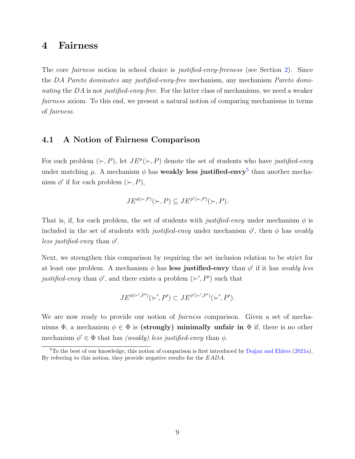## 4 Fairness

The core fairness notion in school choice is justified-envy-freeness (see Section [2\)](#page-5-0). Since the DA Pareto dominates any justified-envy-free mechanism, any mechanism Pareto dominating the  $DA$  is not justified-envy-free. For the latter class of mechanisms, we need a weaker fairness axiom. To this end, we present a natural notion of comparing mechanisms in terms of fairness.

## 4.1 A Notion of Fairness Comparison

For each problem  $(\succ, P)$ , let  $J E^{\mu}(\succ, P)$  denote the set of students who have justified-envy under matching  $\mu$ . A mechanism  $\phi$  has **weakly less justified-envy**<sup>[5](#page-8-0)</sup> than another mechanism  $\phi'$  if for each problem  $(\succ, P)$ ,

$$
JE^{\phi(\succ,P)}(\succ,P) \subseteq JE^{\phi'(\succ,P)}(\succ,P).
$$

That is, if, for each problem, the set of students with *justified-envy* under mechanism  $\phi$  is included in the set of students with *justified-envy* under mechanism  $\phi'$ , then  $\phi$  has *weakly* less justified-envy than  $\phi'$ .

Next, we strengthen this comparison by requiring the set inclusion relation to be strict for at least one problem. A mechanism  $\phi$  has less justified-envy than  $\phi'$  if it has weakly less justified-envy than  $\phi'$ , and there exists a problem  $(\succ', P')$  such that

$$
JE^{\phi(\succ',P')}(\succ',P') \subset JE^{\phi'(\succ',P')}(\succ',P').
$$

We are now ready to provide our notion of *fairness* comparison. Given a set of mechanisms  $\Phi$ , a mechanism  $\phi \in \Phi$  is (strongly) minimally unfair in  $\Phi$  if, there is no other mechanism  $\phi' \in \Phi$  that has *(weakly) less justified-envy* than  $\phi$ .

<span id="page-8-0"></span> $5T$ o the best of our knowledge, this notion of comparison is first introduced by Doğan and Ehlers [\(2021a\)](#page-33-2). By referring to this notion, they provide negative results for the EADA.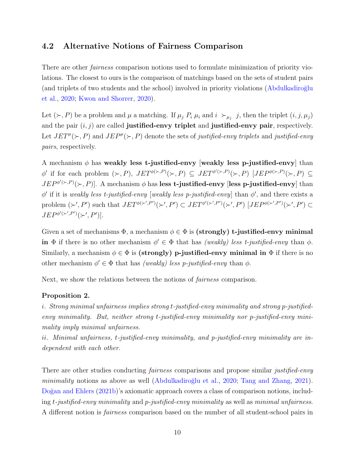## <span id="page-9-1"></span>4.2 Alternative Notions of Fairness Comparison

There are other fairness comparison notions used to formulate minimization of priority violations. The closest to ours is the comparison of matchings based on the sets of student pairs (and triplets of two students and the school) involved in priority violations (Abdulkadiroğlu [et al.,](#page-33-5) [2020;](#page-33-5) [Kwon and Shorrer,](#page-34-4) [2020\)](#page-34-4).

Let  $(\succ, P)$  be a problem and  $\mu$  a matching. If  $\mu_j$   $P_i$   $\mu_i$  and  $i \succ_{\mu_j} j$ , then the triplet  $(i, j, \mu_j)$ and the pair  $(i, j)$  are called **justified-envy triplet** and **justified-envy pair**, respectively. Let  $JET^{\mu}(\succ, P)$  and  $JEP^{\mu}(\succ, P)$  denote the sets of justified-envy triplets and justified-envy pairs, respectively.

A mechanism  $\phi$  has weakly less t-justified-envy [weakly less p-justified-envy] than  $\phi'$  if for each problem  $(\succ, P)$ ,  $JET^{\phi(\succ, P)}(\succ, P) \subseteq JET^{\phi'(\succ, P)}(\succ, P)$   $[JEP^{\phi(\succ, P)}(\succ, P) \subseteq$  $JEP^{\phi'(\succ,P)}(\succ,P)$ . A mechanism  $\phi$  has less t-justified-envy [less p-justified-envy] than  $\phi'$  if it is weakly less t-justified-envy [weakly less p-justified-envy] than  $\phi'$ , and there exists a problem  $(\succ', P')$  such that  $JET^{\phi(\succ', P')}(\succ', P') \subset JET^{\phi'(\succ', P')}(\succ', P')$   $[JEP^{\phi(\succ', P')}(\succ', P') \subset$  $JEP^{\phi'(\succ',P')}(\succ',P')$ .

Given a set of mechanisms  $\Phi$ , a mechanism  $\phi \in \Phi$  is (strongly) t-justified-envy minimal in  $\Phi$  if there is no other mechanism  $\phi' \in \Phi$  that has *(weakly) less t-justified-envy* than  $\phi$ . Similarly, a mechanism  $\phi \in \Phi$  is (strongly) p-justified-envy minimal in  $\Phi$  if there is no other mechanism  $\phi' \in \Phi$  that has *(weakly) less p-justified-envy* than  $\phi$ .

Next, we show the relations between the notions of fairness comparison.

#### <span id="page-9-0"></span>Proposition 2.

i. Strong minimal unfairness implies strong t-justified-envy minimality and strong p-justifiedenvy minimality. But, neither strong t-justified-envy minimality nor p-justified-envy minimality imply minimal unfairness.

ii. Minimal unfairness, t-justified-envy minimality, and p-justified-envy minimality are independent with each other.

There are other studies conducting *fairness* comparisons and propose similar *justified-envy* minimality notions as above as well (Abdulkadiroğlu et al., [2020;](#page-33-5) [Tang and Zhang,](#page-35-1) [2021\)](#page-35-1). Doğan and Ehlers [\(2021b\)](#page-34-7)'s axiomatic approach covers a class of comparison notions, including  $t$ -justified-envy minimality and p-justified-envy minimality as well as minimal unfairness. A different notion is fairness comparison based on the number of all student-school pairs in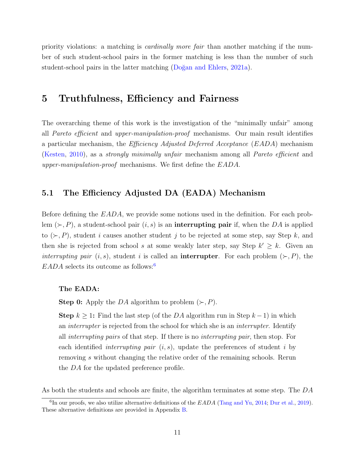priority violations: a matching is cardinally more fair than another matching if the number of such student-school pairs in the former matching is less than the number of such student-school pairs in the latter matching (Doğan and Ehlers, [2021a\)](#page-33-2).

## 5 Truthfulness, Efficiency and Fairness

The overarching theme of this work is the investigation of the "minimally unfair" among all Pareto efficient and upper-manipulation-proof mechanisms. Our main result identifies a particular mechanism, the Efficiency Adjusted Deferred Acceptance (EADA) mechanism [\(Kesten,](#page-34-3) [2010\)](#page-34-3), as a strongly minimally unfair mechanism among all Pareto efficient and upper-manipulation-proof mechanisms. We first define the EADA.

## 5.1 The Efficiency Adjusted DA (EADA) Mechanism

Before defining the EADA, we provide some notions used in the definition. For each problem  $(\succ, P)$ , a student-school pair  $(i, s)$  is an **interrupting pair** if, when the DA is applied to  $(\succ, P)$ , student *i* causes another student *j* to be rejected at some step, say Step k, and then she is rejected from school s at some weakly later step, say Step  $k' \geq k$ . Given an interrupting pair  $(i, s)$ , student i is called an **interrupter**. For each problem  $(\succ, P)$ , the  $EADA$  selects its outcome as follows:<sup>[6](#page-10-0)</sup>

#### The EADA:

**Step 0:** Apply the DA algorithm to problem  $(\succ, P)$ .

**Step**  $k \geq 1$ : Find the last step (of the DA algorithm run in Step  $k-1$ ) in which an interrupter is rejected from the school for which she is an interrupter. Identify all interrupting pairs of that step. If there is no interrupting pair, then stop. For each identified *interrupting pair*  $(i, s)$ , update the preferences of student *i* by removing s without changing the relative order of the remaining schools. Rerun the DA for the updated preference profile.

As both the students and schools are finite, the algorithm terminates at some step. The DA

<span id="page-10-0"></span> ${}^{6}$ In our proofs, we also utilize alternative definitions of the  $EADA$  [\(Tang and Yu,](#page-34-11) [2014;](#page-34-11) [Dur et al.,](#page-34-6) [2019\)](#page-34-6). These alternative definitions are provided in Appendix [B.](#page-15-1)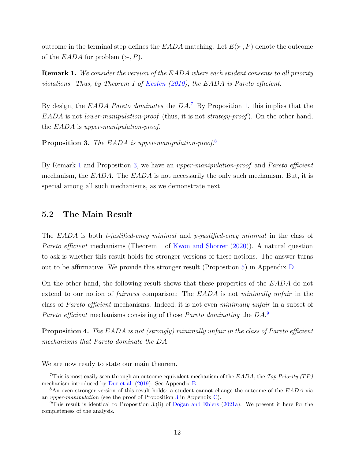outcome in the terminal step defines the EADA matching. Let  $E(\succ, P)$  denote the outcome of the EADA for problem  $(\succ, P)$ .

<span id="page-11-3"></span>Remark 1. We consider the version of the EADA where each student consents to all priority violations. Thus, by Theorem 1 of [Kesten](#page-34-3) [\(2010\)](#page-34-3), the EADA is Pareto efficient.

By design, the  $EADA$  Pareto dominates the  $DA$ <sup>[7](#page-11-1)</sup> By Proposition [1,](#page-7-1) this implies that the  $EADA$  is not *lower-manipulation-proof* (thus, it is not *strategy-proof*). On the other hand, the EADA is upper-manipulation-proof.

<span id="page-11-0"></span>Proposition 3. The EADA is upper-manipulation-proof.<sup>[8](#page-11-2)</sup>

By Remark [1](#page-11-3) and Proposition [3,](#page-11-0) we have an *upper-manipulation-proof* and *Pareto efficient* mechanism, the  $EADA$ . The  $EADA$  is not necessarily the only such mechanism. But, it is special among all such mechanisms, as we demonstrate next.

## 5.2 The Main Result

The EADA is both t-justified-envy minimal and p-justified-envy minimal in the class of Pareto efficient mechanisms (Theorem 1 of [Kwon and Shorrer](#page-34-4) [\(2020\)](#page-34-4)). A natural question to ask is whether this result holds for stronger versions of these notions. The answer turns out to be affirmative. We provide this stronger result (Proposition [5\)](#page-31-0) in Appendix [D.](#page-31-1)

On the other hand, the following result shows that these properties of the EADA do not extend to our notion of *fairness* comparison: The EADA is not *minimally unfair* in the class of Pareto efficient mechanisms. Indeed, it is not even minimally unfair in a subset of Pareto efficient mechanisms consisting of those Pareto dominating the DA.<sup>[9](#page-11-4)</sup>

<span id="page-11-5"></span>Proposition 4. The EADA is not (strongly) minimally unfair in the class of Pareto efficient mechanisms that Pareto dominate the DA.

We are now ready to state our main theorem.

<span id="page-11-1"></span><sup>&</sup>lt;sup>7</sup>This is most easily seen through an outcome equivalent mechanism of the  $EADA$ , the Top Priority (TP) mechanism introduced by [Dur et al.](#page-34-6) [\(2019\)](#page-34-6). See Appendix [B.](#page-15-1)

<span id="page-11-2"></span><sup>&</sup>lt;sup>8</sup>An even stronger version of this result holds: a student cannot change the outcome of the EADA via an upper-manipulation (see the proof of Proposition [3](#page-11-0) in Appendix [C\)](#page-16-0).

<span id="page-11-4"></span><sup>&</sup>lt;sup>9</sup>This result is identical to Proposition 3.(ii) of Doğan and Ehlers [\(2021a\)](#page-33-2). We present it here for the completeness of the analysis.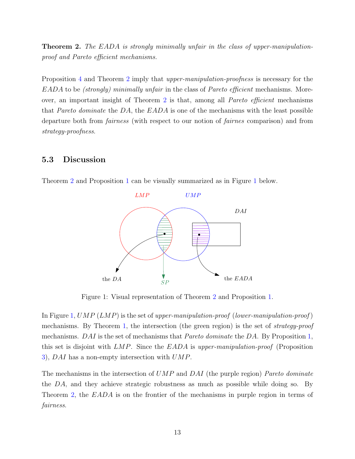<span id="page-12-0"></span>**Theorem 2.** The EADA is strongly minimally unfair in the class of upper-manipulationproof and Pareto efficient mechanisms.

Proposition [4](#page-11-5) and Theorem [2](#page-12-0) imply that *upper-manipulation-proofness* is necessary for the EADA to be (strongly) minimally unfair in the class of Pareto efficient mechanisms. Moreover, an important insight of Theorem [2](#page-12-0) is that, among all Pareto efficient mechanisms that Pareto dominate the  $DA$ , the  $EADA$  is one of the mechanisms with the least possible departure both from fairness (with respect to our notion of fairnes comparison) and from strategy-proofness.

## <span id="page-12-1"></span>5.3 Discussion



Theorem [2](#page-12-0) and Proposition [1](#page-7-1) can be visually summarized as in Figure [1](#page-12-2) below.

<span id="page-12-2"></span>Figure 1: Visual representation of Theorem [2](#page-12-0) and Proposition [1.](#page-7-1)

In Figure [1,](#page-12-2)  $UMP(LMP)$  is the set of upper-manipulation-proof (lower-manipulation-proof) mechanisms. By Theorem [1,](#page-7-0) the intersection (the green region) is the set of strategy-proof mechanisms.  $DAI$  is the set of mechanisms that *Pareto dominate* the DA. By Proposition [1,](#page-7-1) this set is disjoint with  $LMP$ . Since the  $EADA$  is upper-manipulation-proof (Proposition [3\)](#page-11-0), DAI has a non-empty intersection with UMP.

The mechanisms in the intersection of  $UMP$  and  $DAI$  (the purple region) Pareto dominate the DA, and they achieve strategic robustness as much as possible while doing so. By Theorem [2,](#page-12-0) the EADA is on the frontier of the mechanisms in purple region in terms of fairness.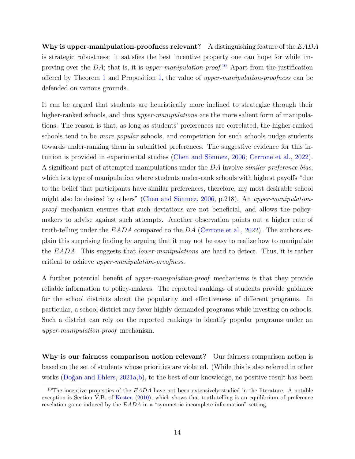Why is upper-manipulation-proofness relevant? A distinguishing feature of the  $EADA$ is strategic robustness: it satisfies the best incentive property one can hope for while improving over the DA; that is, it is *upper-manipulation-proof*.<sup>[10](#page-13-0)</sup> Apart from the justification offered by Theorem [1](#page-7-0) and Proposition [1,](#page-7-1) the value of upper-manipulation-proofness can be defended on various grounds.

It can be argued that students are heuristically more inclined to strategize through their higher-ranked schools, and thus *upper-manipulations* are the more salient form of manipulations. The reason is that, as long as students' preferences are correlated, the higher-ranked schools tend to be *more popular* schools, and competition for such schools nudge students towards under-ranking them in submitted preferences. The suggestive evidence for this in-tuition is provided in experimental studies (Chen and Sönmez, [2006;](#page-33-10) [Cerrone et al.,](#page-33-11) [2022\)](#page-33-11). A significant part of attempted manipulations under the DA involve *similar preference bias*, which is a type of manipulation where students under-rank schools with highest payoffs "due to the belief that participants have similar preferences, therefore, my most desirable school might also be desired by others" (Chen and Sönmez,  $2006$ , p.218). An upper-manipulationproof mechanism ensures that such deviations are not beneficial, and allows the policymakers to advise against such attempts. Another observation points out a higher rate of truth-telling under the  $EADA$  compared to the DA [\(Cerrone et al.,](#page-33-11) [2022\)](#page-33-11). The authors explain this surprising finding by arguing that it may not be easy to realize how to manipulate the EADA. This suggests that *lower-manipulations* are hard to detect. Thus, it is rather critical to achieve upper-manipulation-proofness.

A further potential benefit of upper-manipulation-proof mechanisms is that they provide reliable information to policy-makers. The reported rankings of students provide guidance for the school districts about the popularity and effectiveness of different programs. In particular, a school district may favor highly-demanded programs while investing on schools. Such a district can rely on the reported rankings to identify popular programs under an upper-manipulation-proof mechanism.

Why is our fairness comparison notion relevant? Our fairness comparison notion is based on the set of students whose priorities are violated. (While this is also referred in other works ( $\overline{D}$ ) and Ehlers,  $2021a,b$  $2021a,b$ ), to the best of our knowledge, no positive result has been

<span id="page-13-0"></span><sup>&</sup>lt;sup>10</sup>The incentive properties of the  $EADA$  have not been extensively studied in the literature. A notable exception is Section V.B. of [Kesten](#page-34-3) [\(2010\)](#page-34-3), which shows that truth-telling is an equilibrium of preference revelation game induced by the EADA in a "symmetric incomplete information" setting.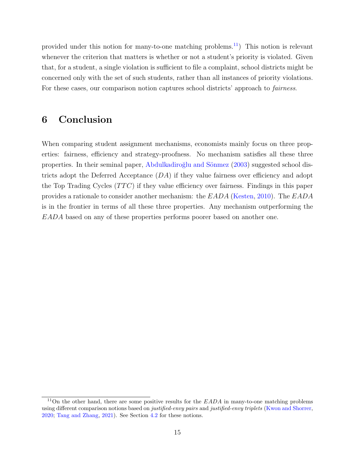provided under this notion for many-to-one matching problems.<sup>[11](#page-14-0)</sup>) This notion is relevant whenever the criterion that matters is whether or not a student's priority is violated. Given that, for a student, a single violation is sufficient to file a complaint, school districts might be concerned only with the set of such students, rather than all instances of priority violations. For these cases, our comparison notion captures school districts' approach to *fairness*.

# 6 Conclusion

When comparing student assignment mechanisms, economists mainly focus on three properties: fairness, efficiency and strategy-proofness. No mechanism satisfies all these three properties. In their seminal paper, Abdulkadiroğlu and Sönmez [\(2003\)](#page-33-3) suggested school districts adopt the Deferred Acceptance  $(DA)$  if they value fairness over efficiency and adopt the Top Trading Cycles  $(TTC)$  if they value efficiency over fairness. Findings in this paper provides a rationale to consider another mechanism: the EADA [\(Kesten,](#page-34-3) [2010\)](#page-34-3). The EADA is in the frontier in terms of all these three properties. Any mechanism outperforming the EADA based on any of these properties performs poorer based on another one.

<span id="page-14-0"></span><sup>&</sup>lt;sup>11</sup>On the other hand, there are some positive results for the  $EADA$  in many-to-one matching problems using different comparison notions based on *justified-envy pairs* and *justified-envy triplets* [\(Kwon and Shorrer,](#page-34-4) [2020;](#page-34-4) [Tang and Zhang,](#page-35-1) [2021\)](#page-35-1). See Section [4.2](#page-9-1) for these notions.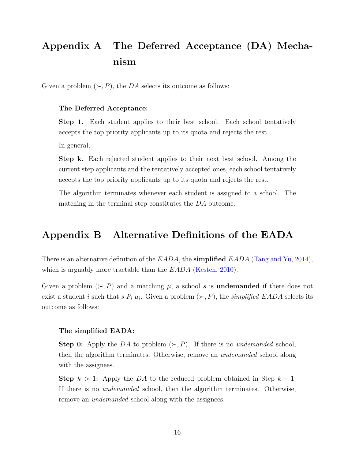# <span id="page-15-0"></span>Appendix A The Deferred Acceptance (DA) Mechanism

Given a problem  $(\succ, P)$ , the DA selects its outcome as follows:

#### The Deferred Acceptance:

Step 1. Each student applies to their best school. Each school tentatively accepts the top priority applicants up to its quota and rejects the rest.

In general,

Step k. Each rejected student applies to their next best school. Among the current step applicants and the tentatively accepted ones, each school tentatively accepts the top priority applicants up to its quota and rejects the rest.

The algorithm terminates whenever each student is assigned to a school. The matching in the terminal step constitutes the DA outcome.

## <span id="page-15-1"></span>Appendix B Alternative Definitions of the EADA

There is an alternative definition of the  $EADA$ , the **simplified**  $EADA$  [\(Tang and Yu,](#page-34-11) [2014\)](#page-34-11), which is arguably more tractable than the EADA [\(Kesten,](#page-34-3) [2010\)](#page-34-3).

Given a problem  $(\succ, P)$  and a matching  $\mu$ , a school s is **undemanded** if there does not exist a student *i* such that *s*  $P_i$   $\mu_i$ . Given a problem  $(\succ, P)$ , the *simplified EADA* selects its outcome as follows:

#### The simplified EADA:

**Step 0:** Apply the DA to problem  $(\succ, P)$ . If there is no *undemanded* school, then the algorithm terminates. Otherwise, remove an undemanded school along with the assignees.

Step  $k > 1$ : Apply the DA to the reduced problem obtained in Step  $k - 1$ . If there is no undemanded school, then the algorithm terminates. Otherwise, remove an *undemanded* school along with the assignees.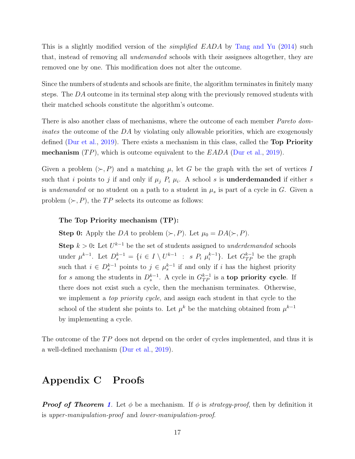This is a slightly modified version of the *simplified EADA* by [Tang and Yu](#page-34-11) [\(2014\)](#page-34-11) such that, instead of removing all undemanded schools with their assignees altogether, they are removed one by one. This modification does not alter the outcome.

Since the numbers of students and schools are finite, the algorithm terminates in finitely many steps. The DA outcome in its terminal step along with the previously removed students with their matched schools constitute the algorithm's outcome.

There is also another class of mechanisms, where the outcome of each member *Pareto dom*inates the outcome of the DA by violating only allowable priorities, which are exogenously defined [\(Dur et al.,](#page-34-6) [2019\)](#page-34-6). There exists a mechanism in this class, called the **Top Priority mechanism**  $(TP)$ , which is outcome equivalent to the  $EADA$  [\(Dur et al.,](#page-34-6) [2019\)](#page-34-6).

Given a problem  $(\succ, P)$  and a matching  $\mu$ , let G be the graph with the set of vertices I such that i points to j if and only if  $\mu_j$   $P_i$   $\mu_i$ . A school s is **underdemanded** if either s is undemanded or no student on a path to a student in  $\mu_s$  is part of a cycle in G. Given a problem  $(\succ, P)$ , the TP selects its outcome as follows:

#### The Top Priority mechanism (TP):

**Step 0:** Apply the DA to problem  $(\succ, P)$ . Let  $\mu_0 = DA(\succ, P)$ .

**Step**  $k > 0$ : Let  $U^{k-1}$  be the set of students assigned to underdemanded schools under  $\mu^{k-1}$ . Let  $D_s^{k-1} = \{i \in I \setminus U^{k-1} : s P_i \mu_i^{k-1} \}$  $\binom{k-1}{i}$ . Let  $G_{TP}^{k-1}$  be the graph such that  $i \in D_s^{k-1}$  points to  $j \in \mu_s^{k-1}$  if and only if i has the highest priority for s among the students in  $D_s^{k-1}$ . A cycle in  $G_{TP}^{k-1}$  is a **top priority cycle**. If there does not exist such a cycle, then the mechanism terminates. Otherwise, we implement a top priority cycle, and assign each student in that cycle to the school of the student she points to. Let  $\mu^k$  be the matching obtained from  $\mu^{k-1}$ by implementing a cycle.

The outcome of the  $TP$  does not depend on the order of cycles implemented, and thus it is a well-defined mechanism [\(Dur et al.,](#page-34-6) [2019\)](#page-34-6).

# <span id="page-16-0"></span>Appendix C Proofs

**Proof of Theorem [1](#page-7-0).** Let  $\phi$  be a mechanism. If  $\phi$  is *strategy-proof*, then by definition it is upper-manipulation-proof and lower-manipulation-proof.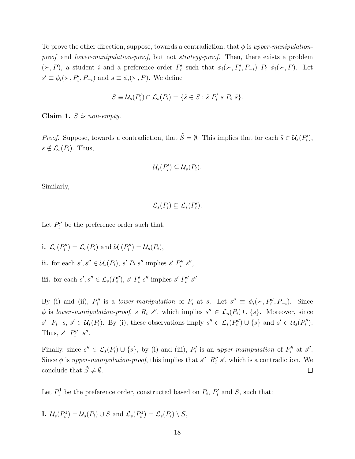To prove the other direction, suppose, towards a contradiction, that  $\phi$  is upper-manipulationproof and lower-manipulation-proof, but not strategy-proof. Then, there exists a problem  $(\succ, P)$ , a student i and a preference order  $P'_i$  such that  $\phi_i(\succ, P'_i, P_{-i})$   $P_i$   $\phi_i(\succ, P)$ . Let  $s' \equiv \phi_i(\succ, P'_i, P_{-i})$  and  $s \equiv \phi_i(\succ, P)$ . We define

$$
\tilde{S} \equiv \mathcal{U}_s(P'_i) \cap \mathcal{L}_s(P_i) = \{ \tilde{s} \in S : \tilde{s} \; P'_i \; s \; P_i \; \tilde{s} \}.
$$

<span id="page-17-0"></span>Claim 1.  $\tilde{S}$  is non-empty.

*Proof.* Suppose, towards a contradiction, that  $\tilde{S} = \emptyset$ . This implies that for each  $\tilde{s} \in \mathcal{U}_s(P'_i)$ ,  $\tilde{s} \notin \mathcal{L}_s(P_i)$ . Thus,

$$
\mathcal{U}_s(P'_i) \subseteq \mathcal{U}_s(P_i).
$$

Similarly,

$$
\mathcal{L}_s(P_i) \subseteq \mathcal{L}_s(P'_i).
$$

Let  $P''_i$  be the preference order such that:

i.  $\mathcal{L}_s(P''_i) = \mathcal{L}_s(P_i)$  and  $\mathcal{U}_s(P''_i) = \mathcal{U}_s(P_i)$ ,

- ii. for each  $s', s'' \in \mathcal{U}_s(P_i)$ ,  $s' P_i s''$  implies  $s' P''_i s''$ ,
- iii. for each  $s', s'' \in \mathcal{L}_s(P''_i)$ ,  $s' P'_i s''$  implies  $s' P''_i s''$ .

By (i) and (ii),  $P''_i$  is a lower-manipulation of  $P_i$  at s. Let  $s'' \equiv \phi_i(\succ, P''_i, P_{-i})$ . Since  $\phi$  is lower-manipulation-proof, s R<sub>i</sub> s'', which implies  $s'' \in \mathcal{L}_s(P_i) \cup \{s\}$ . Moreover, since  $s' P_i$  s,  $s' \in \mathcal{U}_s(P_i)$ . By (i), these observations imply  $s'' \in \mathcal{L}_s(P''_i) \cup \{s\}$  and  $s' \in \mathcal{U}_s(P''_i)$ . Thus,  $s'$   $P''_i$   $s''$ .

Finally, since  $s'' \in \mathcal{L}_s(P_i) \cup \{s\}$ , by (i) and (iii),  $P'_i$  is an upper-manipulation of  $P''_i$  at  $s''$ . Since  $\phi$  is upper-manipulation-proof, this implies that s''  $R_i''$  s', which is a contradiction. We conclude that  $\tilde{S} \neq \emptyset$ .  $\Box$ 

Let  $P_i^1$  be the preference order, constructed based on  $P_i$ ,  $P'_i$  and  $\tilde{S}$ , such that:

**I.** 
$$
\mathcal{U}_s(P_i^1) = \mathcal{U}_s(P_i) \cup \tilde{S}
$$
 and  $\mathcal{L}_s(P_i^1) = \mathcal{L}_s(P_i) \setminus \tilde{S}$ ,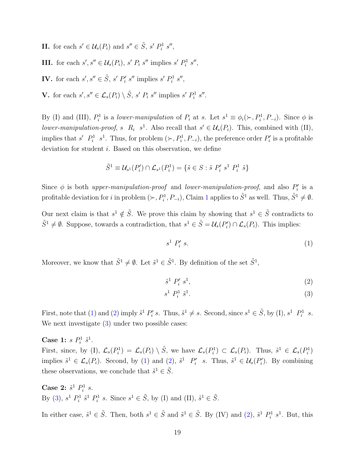**II.** for each  $s' \in \mathcal{U}_s(P_i)$  and  $s'' \in \tilde{S}$ ,  $s' P_i^1 s''$ ,

**III.** for each  $s', s'' \in \mathcal{U}_s(P_i)$ ,  $s' P_i s''$  implies  $s' P_i^1 s''$ ,

IV. for each  $s', s'' \in \tilde{S}$ ,  $s' P'_i s''$  implies  $s' P'_i s''$ ,

**V**. for each  $s', s'' \in \mathcal{L}_s(P_i) \setminus \tilde{S}, s' P_i s''$  implies  $s' P_i^1 s''$ .

By (I) and (III),  $P_i^1$  is a lower-manipulation of  $P_i$  at s. Let  $s^1 \equiv \phi_i(\succ, P_i^1, P_{-i})$ . Since  $\phi$  is lower-manipulation-proof, s  $R_i$  s<sup>1</sup>. Also recall that  $s' \in \mathcal{U}_s(P_i)$ . This, combined with (II), implies that s'  $P_i^1$  s<sup>1</sup>. Thus, for problem  $(\succ, P_i^1, P_{-i})$ , the preference order  $P_i'$  is a profitable deviation for student i. Based on this observation, we define

$$
\tilde{S}^1 \equiv \mathcal{U}_{s^1}(P'_i) \cap \mathcal{L}_{s^1}(P_i^1) = \{ \tilde{s} \in S : \tilde{s} \; P'_i \; s^1 \; P_i^1 \; \tilde{s} \}
$$

Since  $\phi$  is both upper-manipulation-proof and lower-manipulation-proof, and also  $P_i'$  is a profitable deviation for i in problem  $(\succ, P_i^1, P_{-i})$  $(\succ, P_i^1, P_{-i})$  $(\succ, P_i^1, P_{-i})$ , Claim 1 applies to  $\tilde{S}^1$  as well. Thus,  $\tilde{S}^1 \neq \emptyset$ .

Our next claim is that  $s^1 \notin \tilde{S}$ . We prove this claim by showing that  $s^1 \in \tilde{S}$  contradicts to  $\tilde{S}^1 \neq \emptyset$ . Suppose, towards a contradiction, that  $s^1 \in \tilde{S} = \mathcal{U}_s(P_i') \cap \mathcal{L}_s(P_i)$ . This implies:

<span id="page-18-0"></span>
$$
s^1 P'_i s. \tag{1}
$$

Moreover, we know that  $\tilde{S}^1 \neq \emptyset$ . Let  $\tilde{s}^1 \in \tilde{S}^1$ . By definition of the set  $\tilde{S}^1$ ,

<span id="page-18-2"></span><span id="page-18-1"></span>
$$
\tilde{s}^1 P'_i s^1,\tag{2}
$$

$$
s^1 P_i^1 \tilde{s}^1. \tag{3}
$$

First, note that [\(1\)](#page-18-0) and [\(2\)](#page-18-1) imply  $\tilde{s}^1 P'_i s$ . Thus,  $\tilde{s}^1 \neq s$ . Second, since  $s^1 \in \tilde{S}$ , by (I),  $s^1 P_i^1 s$ . We next investigate  $(3)$  under two possible cases:

Case 1:  $s P_i^1 \tilde{s}^1$ .

First, since, by (I),  $\mathcal{L}_s(P_i^1) = \mathcal{L}_s(P_i) \setminus \tilde{S}$ , we have  $\mathcal{L}_s(P_i^1) \subset \mathcal{L}_s(P_i)$ . Thus,  $\tilde{s}^1 \in \mathcal{L}_s(P_i^1)$ implies  $\tilde{s}^1 \in \mathcal{L}_s(P_i)$ . Second, by [\(1\)](#page-18-0) and [\(2\)](#page-18-1),  $\tilde{s}^1 P'_i$  s. Thus,  $\tilde{s}^1 \in \mathcal{U}_s(P'_i)$ . By combining these observations, we conclude that  $\tilde{s}^1 \in \tilde{S}$ .

**Case 2:**  $\tilde{s}^1$   $P_i^1$  *s*. By [\(3\)](#page-18-2),  $s^1$   $P_i^1$   $\tilde{s}^1$   $P_i^1$   $s$ . Since  $s^1 \in \tilde{S}$ , by (I) and (II),  $\tilde{s}^1 \in \tilde{S}$ .

In either case,  $\tilde{s}^1 \in \tilde{S}$ . Then, both  $s^1 \in \tilde{S}$  and  $\tilde{s}^1 \in \tilde{S}$ . By (IV) and [\(2\)](#page-18-1),  $\tilde{s}^1 P_i^1 s^1$ . But, this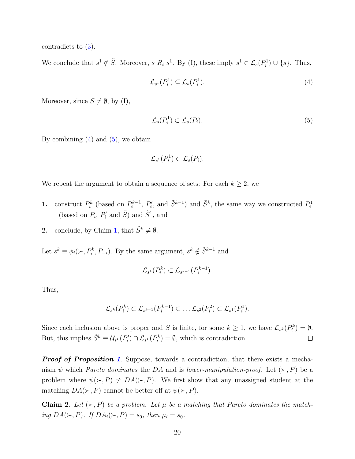contradicts to [\(3\)](#page-18-2).

We conclude that  $s^1 \notin \tilde{S}$ . Moreover, s  $R_i$   $s^1$ . By (I), these imply  $s^1 \in \mathcal{L}_s(P_i^1) \cup \{s\}$ . Thus,

<span id="page-19-0"></span>
$$
\mathcal{L}_{s^1}(P_i^1) \subseteq \mathcal{L}_s(P_i^1). \tag{4}
$$

Moreover, since  $\tilde{S} \neq \emptyset$ , by (I),

<span id="page-19-1"></span>
$$
\mathcal{L}_s(P_i^1) \subset \mathcal{L}_s(P_i). \tag{5}
$$

By combining  $(4)$  and  $(5)$ , we obtain

$$
\mathcal{L}_{s^1}(P_i^1) \subset \mathcal{L}_s(P_i).
$$

We repeat the argument to obtain a sequence of sets: For each  $k \geq 2$ , we

- **1.** construct  $P_i^k$  (based on  $P_i^{k-1}$  $\tilde{S}^{k-1}$ ,  $P'_i$ , and  $\tilde{S}^{k-1}$ ) and  $\tilde{S}^k$ , the same way we constructed  $P_i^1$ (based on  $P_i$ ,  $P'_i$  and  $\tilde{S}$ ) and  $\tilde{S}^1$ , and
- 2. conclude, by Claim [1,](#page-17-0) that  $\tilde{S}^k \neq \emptyset$ .

Let  $s^k \equiv \phi_i(\succ, P_i^k, P_{-i})$ . By the same argument,  $s^k \notin \tilde{S}^{k-1}$  and

$$
\mathcal{L}_{s^k}(P_i^k) \subset \mathcal{L}_{s^{k-1}}(P_i^{k-1}).
$$

Thus,

$$
\mathcal{L}_{s^k}(P_i^k) \subset \mathcal{L}_{s^{k-1}}(P_i^{k-1}) \subset \ldots \mathcal{L}_{s^2}(P_i^2) \subset \mathcal{L}_{s^1}(P_i^1).
$$

Since each inclusion above is proper and S is finite, for some  $k \geq 1$ , we have  $\mathcal{L}_{s^k}(P_i^k) = \emptyset$ . But, this implies  $\tilde{S}^k \equiv \mathcal{U}_{s^k}(P_i') \cap \mathcal{L}_{s^k}(P_i^k) = \emptyset$ , which is contradiction.  $\Box$ 

**Proof of Proposition [1](#page-7-1).** Suppose, towards a contradiction, that there exists a mechanism  $\psi$  which *Pareto dominates* the DA and is *lower-manipulation-proof.* Let  $(\succ, P)$  be a problem where  $\psi(\succ, P) \neq DA(\succ, P)$ . We first show that any unassigned student at the matching  $DA(\succ, P)$  cannot be better off at  $\psi(\succ, P)$ .

<span id="page-19-2"></span>Claim 2. Let  $(\succ, P)$  be a problem. Let  $\mu$  be a matching that Pareto dominates the matching  $DA(\succ, P)$ . If  $DA_i(\succ, P) = s_0$ , then  $\mu_i = s_0$ .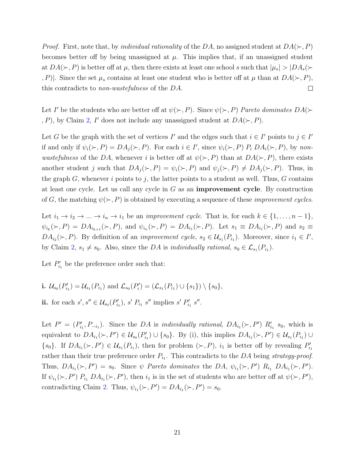*Proof.* First, note that, by *individual rationality* of the DA, no assigned student at  $DA(\succ, P)$ becomes better off by being unassigned at  $\mu$ . This implies that, if an unassigned student at  $DA(\succ, P)$  is better off at  $\mu$ , then there exists at least one school s such that  $|\mu_s| > |DA_s(\succ)$  $|P|$ . Since the set  $\mu_s$  contains at least one student who is better off at  $\mu$  than at  $DA(\succ, P)$ , this contradicts to non-wastefulness of the DA.  $\Box$ 

Let I' be the students who are better off at  $\psi(\succ, P)$ . Since  $\psi(\succ, P)$  Pareto dominates  $DA(\succ)$  $P$ , P), by Claim [2,](#page-19-2) I' does not include any unassigned student at  $DA(\succ, P)$ .

Let G be the graph with the set of vertices I' and the edges such that  $i \in I'$  points to  $j \in I'$ if and only if  $\psi_i(\succ, P) = DA_j(\succ, P)$ . For each  $i \in I'$ , since  $\psi_i(\succ, P)$   $P_i DA_i(\succ, P)$ , by nonwastefulness of the DA, whenever i is better off at  $\psi(\succ, P)$  than at  $DA(\succ, P)$ , there exists another student j such that  $DA_j(\succ, P) = \psi_i(\succ, P)$  and  $\psi_j(\succ, P) \neq DA_j(\succ, P)$ . Thus, in the graph G, whenever i points to j, the latter points to a student as well. Thus, G contains at least one cycle. Let us call any cycle in  $G$  as an **improvement cycle**. By construction of G, the matching  $\psi(\succ, P)$  is obtained by executing a sequence of these *improvement cycles*.

Let  $i_1 \to i_2 \to \dots \to i_n \to i_1$  be an *improvement cycle*. That is, for each  $k \in \{1, \dots, n-1\}$ ,  $\psi_{i_k}(\succ, P) = DA_{i_{k+1}}(\succ, P)$ , and  $\psi_{i_n}(\succ, P) = DA_{i_1}(\succ, P)$ . Let  $s_1 \equiv DA_{i_1}(\succ, P)$  and  $s_2 \equiv$  $DA_{i_2}(\succ, P)$ . By definition of an *improvement cycle*,  $s_2 \in \mathcal{U}_{s_1}(P_{i_1})$ . Moreover, since  $i_1 \in I'$ , by Claim [2,](#page-19-2)  $s_1 \neq s_0$ . Also, since the DA is individually rational,  $s_0 \in \mathcal{L}_{s_1}(P_{i_1})$ .

Let  $P'_{i_1}$  be the preference order such that:

- **i.**  $\mathcal{U}_{s_0}(P'_{i_1}) = \mathcal{U}_{s_1}(P_{i_1})$  and  $\mathcal{L}_{s_0}(P'_{i}) = (\mathcal{L}_{s_1}(P_{i_1}) \cup \{s_1\}) \setminus \{s_0\},$
- ii. for each  $s', s'' \in \mathcal{U}_{s_0}(P'_{i_1}), s' P_{i_1} s''$  implies  $s' P'_{i_1} s''$ .

Let  $P' = (P'_{i_1}, P_{-i_1})$ . Since the DA is individually rational,  $DA_{i_1}(\succ, P')$   $R'_{i_1}$  s<sub>0</sub>, which is equivalent to  $DA_{i_1}(\succ, P') \in \mathcal{U}_{s_0}(P'_{i_1}) \cup \{s_0\}$ . By (i), this implies  $DA_{i_1}(\succ, P') \in \mathcal{U}_{s_1}(P_{i_1}) \cup$  $\{s_0\}$ . If  $DA_{i_1}(\succ, P') \in \mathcal{U}_{s_1}(P_{i_1})$ , then for problem  $(\succ, P)$ ,  $i_1$  is better off by revealing  $P'_{i_1}$ rather than their true preference order  $P_{i_1}$ . This contradicts to the DA being strategy-proof. Thus,  $DA_{i_1}(\succ, P') = s_0$ . Since  $\psi$  Pareto dominates the DA,  $\psi_{i_1}(\succ, P')$   $R_{i_1} DA_{i_1}(\succ, P')$ . If  $\psi_{i_1}(\succ, P')$   $P_{i_1}$   $DA_{i_1}(\succ, P')$ , then  $i_1$  is in the set of students who are better off at  $\psi(\succ, P')$ , contradicting Claim [2.](#page-19-2) Thus,  $\psi_{i_1}(\succ, P') = DA_{i_1}(\succ, P') = s_0$ .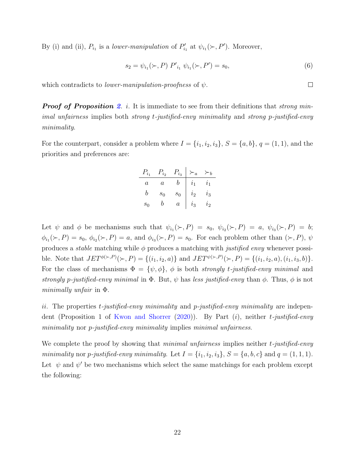By (i) and (ii),  $P_{i_1}$  is a *lower-manipulation* of  $P'_{i_1}$  at  $\psi_{i_1}(\succ, P')$ . Moreover,

$$
s_2 = \psi_{i_1}(\succ, P) P'_{i_1} \psi_{i_1}(\succ, P') = s_0,\tag{6}
$$

which contradicts to *lower-manipulation-proofness* of  $\psi$ .

**Proof of Proposition [2](#page-9-0).** i. It is immediate to see from their definitions that strong minimal unfairness implies both strong t-justified-envy minimality and strong p-justified-envy minimality.

For the counterpart, consider a problem where  $I = \{i_1, i_2, i_3\}$ ,  $S = \{a, b\}$ ,  $q = (1, 1)$ , and the priorities and preferences are:

|         | $\tilde{i}_2$ | $\frac{1}{i_3}$ | $\boldsymbol{a}$ |            |
|---------|---------------|-----------------|------------------|------------|
| $\it a$ | a             |                 |                  | $\iota_1$  |
| Ω       | $s_0$         | $s_0$           | $\iota_2$        | $\imath_3$ |
| $s_0$   |               | $\it a$         | $\imath_3$       | $\imath_2$ |

Let  $\psi$  and  $\phi$  be mechanisms such that  $\psi_{i_1}(\succ, P) = s_0$ ,  $\psi_{i_2}(\succ, P) = a$ ,  $\psi_{i_3}(\succ, P) = b$ ;  $\phi_{i_1}(\succ,P) = s_0, \ \phi_{i_2}(\succ,P) = a$ , and  $\phi_{i_3}(\succ,P) = s_0$ . For each problem other than  $(\succ,P)$ ,  $\psi$ produces a *stable* matching while  $\phi$  produces a matching with *justified envy* whenever possible. Note that  $JET^{\phi(\succ,P)}(\succ,P) = \{(i_1,i_2,a)\}\$  and  $JET^{\psi(\succ,P)}(\succ,P) = \{(i_1,i_2,a),(i_1,i_3,b)\}.$ For the class of mechanisms  $\Phi = {\psi, \phi}$ ,  $\phi$  is both *strongly t-justified-envy minimal* and strongly p-justified-envy minimal in  $\Phi$ . But,  $\psi$  has less justified-envy than  $\phi$ . Thus,  $\phi$  is not minimally unfair in Φ.

ii. The properties t-justified-envy minimality and p-justified-envy minimality are indepen-dent (Proposition 1 of [Kwon and Shorrer](#page-34-4)  $(2020)$ ). By Part  $(i)$ , neither t-justified-envy minimality nor *p*-justified-envy minimality implies minimal unfairness.

We complete the proof by showing that minimal unfairness implies neither t-justified-envy minimality nor p-justified-envy minimality. Let  $I = \{i_1, i_2, i_3\}$ ,  $S = \{a, b, c\}$  and  $q = (1, 1, 1)$ . Let  $\psi$  and  $\psi'$  be two mechanisms which select the same matchings for each problem except the following:

 $\Box$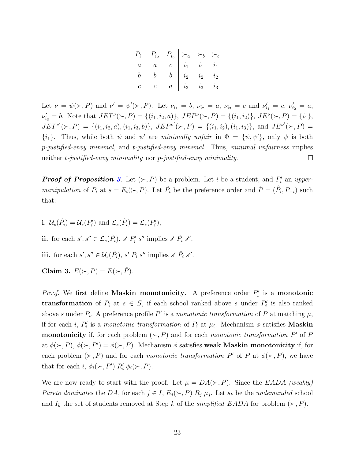| $P_{i_1}$ $P_{i_2}$ $P_{i_3}$ $\succ_a$ $\succ_b$ $\succ_c$                                                                                             |  |  |
|---------------------------------------------------------------------------------------------------------------------------------------------------------|--|--|
|                                                                                                                                                         |  |  |
|                                                                                                                                                         |  |  |
| $\begin{array}{ c c c c c } \hline a & a & c & i_1 & i_1 & i_1 \ \hline b & b & b & i_2 & i_2 & i_2 \ c & c & a & i_3 & i_3 & i_3 \ \hline \end{array}$ |  |  |

Let  $\nu = \psi(\succ, P)$  and  $\nu' = \psi'(\succ, P)$ . Let  $\nu_{i_1} = b$ ,  $\nu_{i_2} = a$ ,  $\nu_{i_3} = c$  and  $\nu'_{i_1} = c$ ,  $\nu'_{i_2} = a$ ,  $\nu'_{i_3} = b$ . Note that  $JET^{\nu}(\succ, P) = \{(i_1, i_2, a)\}, JEP^{\nu}(\succ, P) = \{(i_1, i_2)\}, JE^{\nu}(\succ, P) = \{i_1\},$  $JET^{\nu'}(\succ,P) = \{(i_1,i_2,a),(i_1,i_3,b)\}, \ JEP^{\nu'}(\succ,P) = \{(i_1,i_2),(i_1,i_3)\}, \text{ and } JE^{\nu'}(\succ,P) =$  $\{i_1\}$ . Thus, while both  $\psi$  and  $\psi'$  are minimally unfair in  $\Phi = {\psi, \psi'}$ , only  $\psi$  is both  $p$ -justified-envy minimal, and t-justified-envy minimal. Thus, minimal unfairness implies neither t-justified-envy minimality nor p-justified-envy minimality.  $\Box$ 

**Proof of Proposition [3](#page-11-0).** Let  $(\succ, P)$  be a problem. Let i be a student, and  $P'_i$  an uppermanipulation of  $P_i$  at  $s = E_i(\succ, P)$ . Let  $\hat{P}_i$  be the preference order and  $\hat{P} = (\hat{P}_i, P_{-i})$  such that:

**i.**  $\mathcal{U}_s(\hat{P}_i) = \mathcal{U}_s(P'_i)$  and  $\mathcal{L}_s(\hat{P}_i) = \mathcal{L}_s(P'_i)$ ,

ii. for each  $s', s'' \in \mathcal{L}_s(\hat{P}_i)$ ,  $s' P'_i s''$  implies  $s' \hat{P}_i s''$ ,

iii. for each  $s', s'' \in \mathcal{U}_s(\hat{P}_i)$ ,  $s' P_i s''$  implies  $s' \hat{P}_i s''$ .

<span id="page-22-0"></span>Claim 3.  $E(\succ, P) = E(\succ, \hat{P})$ .

*Proof.* We first define **Maskin monotonicity**. A preference order  $P'_i$  is a **monotonic transformation** of  $P_i$  at  $s \in S$ , if each school ranked above s under  $P'_i$  is also ranked above s under  $P_i$ . A preference profile P' is a monotonic transformation of P at matching  $\mu$ , if for each *i*,  $P'_i$  is a monotonic transformation of  $P_i$  at  $\mu_i$ . Mechanism  $\phi$  satisfies **Maskin monotonicity** if, for each problem  $(\succ, P)$  and for each monotonic transformation P' of P at  $\phi(\succ, P), \phi(\succ, P') = \phi(\succ, P)$ . Mechanism  $\phi$  satisfies weak Maskin monotonicity if, for each problem  $(\succ, P)$  and for each *monotonic transformation* P' of P at  $\phi(\succ, P)$ , we have that for each i,  $\phi_i(\succ, P')$   $R'_i$   $\phi_i(\succ, P)$ .

We are now ready to start with the proof. Let  $\mu = DA(\succ, P)$ . Since the EADA (weakly) Pareto dominates the DA, for each  $j \in I$ ,  $E_j(\succ, P)$   $R_j$ ,  $\mu_j$ . Let  $s_k$  be the undemanded school and  $I_k$  the set of students removed at Step k of the *simplified EADA* for problem  $(\succ, P)$ .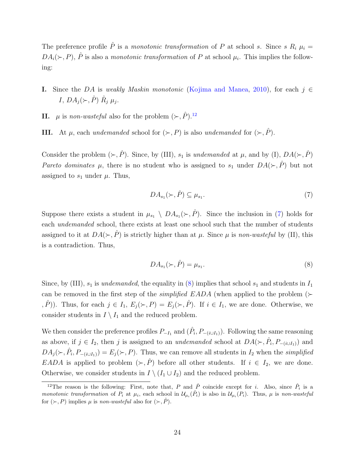The preference profile  $\hat{P}$  is a monotonic transformation of P at school s. Since s  $R_i \mu_i =$  $DA_i(\succ, P)$ ,  $\hat{P}$  is also a monotonic transformation of P at school  $\mu_i$ . This implies the following:

- I. Since the DA is weakly Maskin monotonic [\(Kojima and Manea,](#page-34-12) [2010\)](#page-34-12), for each  $j \in$ I,  $DA_j(\succ,\hat{P}) \hat{R}_j \mu_j$ .
- II.  $\mu$  is non-wasteful also for the problem  $(\succ, \hat{P})$ .<sup>[12](#page-23-0)</sup>
- **III.** At  $\mu$ , each undemanded school for  $(\succ, P)$  is also undemanded for  $(\succ, \hat{P})$ .

Consider the problem  $(\succ, \hat{P})$ . Since, by (III),  $s_1$  is undemanded at  $\mu$ , and by (I),  $DA(\succ, \hat{P})$ Pareto dominates  $\mu$ , there is no student who is assigned to  $s_1$  under  $DA(\succ,\hat{P})$  but not assigned to  $s_1$  under  $\mu$ . Thus,

<span id="page-23-1"></span>
$$
DA_{s_1}(\succ,\hat{P}) \subseteq \mu_{s_1}.\tag{7}
$$

Suppose there exists a student in  $\mu_{s_1} \setminus DA_{s_1}(\succ,\hat{P})$ . Since the inclusion in [\(7\)](#page-23-1) holds for each undemanded school, there exists at least one school such that the number of students assigned to it at  $DA(\succ, \hat{P})$  is strictly higher than at  $\mu$ . Since  $\mu$  is non-wasteful by (II), this is a contradiction. Thus,

<span id="page-23-2"></span>
$$
DA_{s_1}(\succ,\hat{P}) = \mu_{s_1}.\tag{8}
$$

Since, by (III),  $s_1$  is undemanded, the equality in [\(8\)](#page-23-2) implies that school  $s_1$  and students in  $I_1$ can be removed in the first step of the *simplified EADA* (when applied to the problem  $(\succ$  $(\hat{P})$ ). Thus, for each  $j \in I_1$ ,  $E_j(\succ, P) = E_j(\succ, \hat{P})$ . If  $i \in I_1$ , we are done. Otherwise, we consider students in  $I \setminus I_1$  and the reduced problem.

We then consider the preference profiles  $P_{-I_1}$  and  $(\hat{P}_i, P_{-(i\cup I_1)})$ . Following the same reasoning as above, if  $j \in I_2$ , then j is assigned to an undemanded school at  $DA(\succ, \hat{P}_i, P_{-(i \cup I_1)})$  and  $DA_j(\succ, \hat{P}_i, P_{-(i\cup I_1)}) = E_j(\succ, P)$ . Thus, we can remove all students in  $I_2$  when the simplified EADA is applied to problem  $(\succ, \hat{P})$  before all other students. If  $i \in I_2$ , we are done. Otherwise, we consider students in  $I \setminus (I_1 \cup I_2)$  and the reduced problem.

<span id="page-23-0"></span><sup>&</sup>lt;sup>12</sup>The reason is the following: First, note that, P and  $\hat{P}$  coincide except for i. Also, since  $\hat{P}_i$  is a monotonic transformation of  $P_i$  at  $\mu_i$ , each school in  $\mathcal{U}_{\mu_i}(\hat{P}_i)$  is also in  $\mathcal{U}_{\mu_i}(P_i)$ . Thus,  $\mu$  is non-wasteful for  $(\succ, P)$  implies  $\mu$  is non-wasteful also for  $(\succ, \hat{P})$ .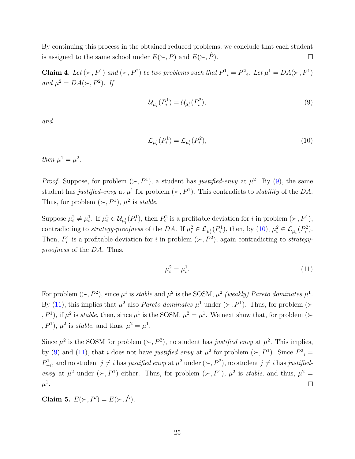By continuing this process in the obtained reduced problems, we conclude that each student is assigned to the same school under  $E(\succ, P)$  and  $E(\succ, P)$ .  $\Box$ 

<span id="page-24-3"></span>**Claim 4.** Let  $(\succ, P^1)$  and  $(\succ, P^2)$  be two problems such that  $P_{-i}^1 = P_{-i}^2$ . Let  $\mu^1 = DA(\succ, P^1)$ and  $\mu^2 = DA(\succ, P^2)$ . If

<span id="page-24-0"></span>
$$
\mathcal{U}_{\mu_i^1}(P_i^1) = \mathcal{U}_{\mu_i^1}(P_i^2),\tag{9}
$$

and

<span id="page-24-1"></span>
$$
\mathcal{L}_{\mu_i^1}(P_i^1) = \mathcal{L}_{\mu_i^1}(P_i^2),\tag{10}
$$

then  $\mu^1 = \mu^2$ .

*Proof.* Suppose, for problem  $(\succ, P^1)$ , a student has justified-envy at  $\mu^2$ . By [\(9\)](#page-24-0), the same student has justified-envy at  $\mu^1$  for problem  $(\succ, P^1)$ . This contradicts to *stability* of the DA. Thus, for problem  $(\succ, P^1)$ ,  $\mu^2$  is *stable*.

Suppose  $\mu_i^2 \neq \mu_i^1$ . If  $\mu_i^2 \in \mathcal{U}_{\mu_i^1}(P_i^1)$ , then  $P_i^2$  is a profitable deviation for i in problem  $(\succ, P^1)$ , contradicting to *strategy-proofness* of the DA. If  $\mu_i^2 \in \mathcal{L}_{\mu_i^1}(P_i^1)$ , then, by [\(10\)](#page-24-1),  $\mu_i^2 \in \mathcal{L}_{\mu_i^1}(P_i^2)$ . Then,  $P_i^1$  is a profitable deviation for i in problem  $(\succ, P^2)$ , again contradicting to *strategy*proofness of the DA. Thus,

<span id="page-24-2"></span>
$$
\mu_i^2 = \mu_i^1. \tag{11}
$$

For problem  $(\succ, P^2)$ , since  $\mu^1$  is stable and  $\mu^2$  is the SOSM,  $\mu^2$  (weakly) Pareto dominates  $\mu^1$ . By [\(11\)](#page-24-2), this implies that  $\mu^2$  also *Pareto dominates*  $\mu^1$  under ( $\succ$ ,  $P^1$ ). Thus, for problem ( $\succ$  $(P^1)$ , if  $\mu^2$  is *stable*, then, since  $\mu^1$  is the SOSM,  $\mu^2 = \mu^1$ . We next show that, for problem ( $\succ$  $, P<sup>1</sup>$ ),  $\mu<sup>2</sup>$  is *stable*, and thus,  $\mu<sup>2</sup> = \mu<sup>1</sup>$ .

Since  $\mu^2$  is the SOSM for problem  $(\succ, P^2)$ , no student has justified envy at  $\mu^2$ . This implies, by [\(9\)](#page-24-0) and [\(11\)](#page-24-2), that i does not have justified envy at  $\mu^2$  for problem ( $\succ, P^1$ ). Since  $P_{-i}^2$  =  $P_{-i}^1$ , and no student  $j \neq i$  has justified envy at  $\mu^2$  under  $(\succ, P^2)$ , no student  $j \neq i$  has justifiedenvy at  $\mu^2$  under  $(\succ, P^1)$  either. Thus, for problem  $(\succ, P^1)$ ,  $\mu^2$  is stable, and thus,  $\mu^2 =$  $\mu^1.$  $\Box$ 

<span id="page-24-4"></span>Claim 5.  $E(\succ, P') = E(\succ, \hat{P})$ .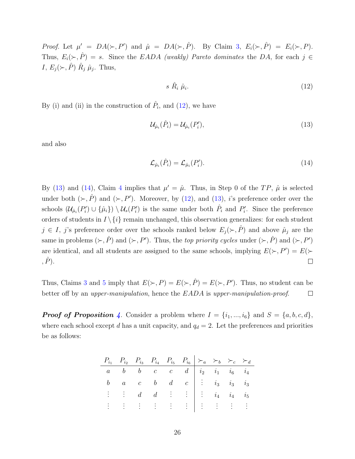*Proof.* Let  $\mu' = DA(\succ, P')$  and  $\hat{\mu} = DA(\succ, \hat{P})$ . By Claim [3,](#page-22-0)  $E_i(\succ, \hat{P}) = E_i(\succ, P)$ . Thus,  $E_i(\succ, \hat{P}) = s$ . Since the EADA (weakly) Pareto dominates the DA, for each j ∈ I,  $E_j(\succ,\hat{P}) \hat{R}_j \hat{\mu}_j$ . Thus,

<span id="page-25-1"></span><span id="page-25-0"></span>
$$
s \; \hat{R}_i \; \hat{\mu}_i. \tag{12}
$$

By (i) and (ii) in the construction of  $\hat{P}_i$ , and [\(12\)](#page-25-0), we have

$$
\mathcal{U}_{\hat{\mu}_i}(\hat{P}_i) = \mathcal{U}_{\hat{\mu}_i}(P'_i),\tag{13}
$$

and also

<span id="page-25-2"></span>
$$
\mathcal{L}_{\hat{\mu}_i}(\hat{P}_i) = \mathcal{L}_{\hat{\mu}_i}(P'_i). \tag{14}
$$

By [\(13\)](#page-25-1) and [\(14\)](#page-25-2), Claim [4](#page-24-3) implies that  $\mu' = \hat{\mu}$ . Thus, in Step 0 of the TP,  $\hat{\mu}$  is selected under both  $(\succ, \hat{P})$  and  $(\succ, P')$ . Moreover, by [\(12\)](#page-25-0), and [\(13\)](#page-25-1), *i*'s preference order over the schools  $(\mathcal{U}_{\hat{\mu}_{i}}(P'_i) \cup \{\hat{\mu}_i\}) \setminus \mathcal{U}_s(P'_i)$  is the same under both  $\hat{P}_i$  and  $P'_i$ . Since the preference orders of students in  $I \setminus \{i\}$  remain unchanged, this observation generalizes: for each student  $j \in I$ , j's preference order over the schools ranked below  $E_j(\succ, \hat{P})$  and above  $\hat{\mu}_j$  are the same in problems  $(\succ, \hat{P})$  and  $(\succ, P')$ . Thus, the *top priority cycles* under  $(\succ, \hat{P})$  and  $(\succ, P')$ are identical, and all students are assigned to the same schools, implying  $E(\succ, P') = E(\succ)$  $, \hat{P}$ ).  $\Box$ 

Thus, Claims [3](#page-22-0) and [5](#page-24-4) imply that  $E(\succ, P) = E(\succ, \hat{P}) = E(\succ, P')$ . Thus, no student can be better off by an *upper-manipulation*, hence the *EADA* is *upper-manipulation-proof.*  $\Box$ 

**Proof of Proposition [4](#page-11-5).** Consider a problem where  $I = \{i_1, ..., i_6\}$  and  $S = \{a, b, c, d\}$ , where each school except d has a unit capacity, and  $q_d = 2$ . Let the preferences and priorities be as follows:

| $P_{i_1}$ $P_{i_2}$ $P_{i_3}$ $P_{i_4}$ $P_{i_5}$ $P_{i_6}$ $\succ_a$ $\succ_b$ $\succ_c$ $\succ_d$                                                                           |  |  |  |  |
|-------------------------------------------------------------------------------------------------------------------------------------------------------------------------------|--|--|--|--|
| $a \quad b \quad b \quad c \quad c \quad d \mid i_2 \quad i_1 \quad i_6 \quad i_4$                                                                                            |  |  |  |  |
| $\begin{array}{ccccccccc} b & a & c & b & d & c & \vdots & i_3 & i_3 & i_3 \end{array}$                                                                                       |  |  |  |  |
| $\vdots$ $\vdots$ $d$ $d$ $\vdots$ $\vdots$ $\vdots$ $i_4$ $i_4$ $i_5$                                                                                                        |  |  |  |  |
| $\frac{1}{2}$ , $\frac{1}{2}$ , $\frac{1}{2}$ , $\frac{1}{2}$ , $\frac{1}{2}$ , $\frac{1}{2}$ , $\frac{1}{2}$ , $\frac{1}{2}$ , $\frac{1}{2}$ , $\frac{1}{2}$ , $\frac{1}{2}$ |  |  |  |  |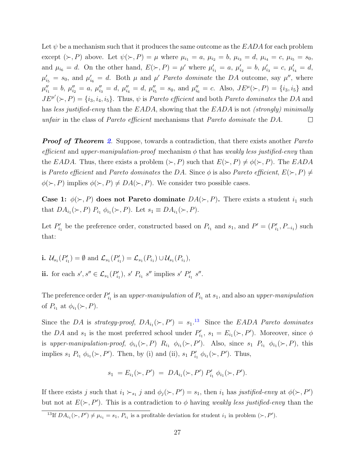Let  $\psi$  be a mechanism such that it produces the same outcome as the EADA for each problem except  $(\succ, P)$  above. Let  $\psi(\succ, P) = \mu$  where  $\mu_{i_1} = a, \mu_{i_2} = b, \mu_{i_3} = d, \mu_{i_4} = c, \mu_{i_5} = s_0$ , and  $\mu_{i_6} = d$ . On the other hand,  $E(\succ, P) = \mu'$  where  $\mu'_{i_1} = a, \mu'_{i_2} = b, \mu'_{i_3} = c, \mu'_{i_4} = d$ ,  $\mu'_{i_5} = s_0$ , and  $\mu'_{i_6} = d$ . Both  $\mu$  and  $\mu'$  Pareto dominate the DA outcome, say  $\mu''$ , where  $\mu_{i_1}'' = b$ ,  $\mu_{i_2}'' = a$ ,  $\mu_{i_3}'' = d$ ,  $\mu_{i_4}'' = d$ ,  $\mu_{i_5}'' = s_0$ , and  $\mu_{i_6}'' = c$ . Also,  $JE^{\mu}(\succ, P) = \{i_3, i_5\}$  and  $J E^{\mu'}(\succ, P) = \{i_3, i_4, i_5\}.$  Thus,  $\psi$  is *Pareto efficient* and both *Pareto dominates* the DA and has less justified-envy than the  $EADA$ , showing that the  $EADA$  is not (strongly) minimally unfair in the class of Pareto efficient mechanisms that Pareto dominate the DA.  $\Box$ 

**Proof of Theorem [2](#page-12-0).** Suppose, towards a contradiction, that there exists another Pareto efficient and upper-manipulation-proof mechanism  $\phi$  that has weakly less justified-envy than the EADA. Thus, there exists a problem  $(\succ, P)$  such that  $E(\succ, P) \neq \phi(\succ, P)$ . The EADA is Pareto efficient and Pareto dominates the DA. Since  $\phi$  is also Pareto efficient,  $E(\succ, P) \neq$  $\phi(\succ, P)$  implies  $\phi(\succ, P) \neq DA(\succ, P)$ . We consider two possible cases.

Case 1:  $\phi(\succ, P)$  does not Pareto dominate  $DA(\succ, P)$ . There exists a student  $i_1$  such that  $DA_{i_1}(\succ, P)$   $P_{i_1} \phi_{i_1}(\succ, P)$ . Let  $s_1 \equiv DA_{i_1}(\succ, P)$ .

Let  $P'_{i_1}$  be the preference order, constructed based on  $P_{i_1}$  and  $s_1$ , and  $P' = (P'_{i_1}, P_{-i_1})$  such that:

**i.**  $\mathcal{U}_{s_1}(P'_{i_1}) = \emptyset$  and  $\mathcal{L}_{s_1}(P'_{i_1}) = \mathcal{L}_{s_1}(P_{i_1}) \cup \mathcal{U}_{s_1}(P_{i_1}),$ ii. for each  $s', s'' \in \mathcal{L}_{s_1}(P'_{i_1}), s' P_{i_1} s''$  implies  $s' P'_{i_1} s''$ .

The preference order  $P'_{i_1}$  is an upper-manipulation of  $P_{i_1}$  at  $s_1$ , and also an upper-manipulation of  $P_{i_1}$  at  $\phi_{i_1}(\succ, P)$ .

Since the DA is strategy-proof,  $DA_{i_1}(\succ, P') = s_1$ .<sup>[13](#page-26-0)</sup> Since the EADA Pareto dominates the DA and  $s_1$  is the most preferred school under  $P'_{i_1}, s_1 = E_{i_1}(\succ, P')$ . Moreover, since  $\phi$ is upper-manipulation-proof,  $\phi_{i_1}(\succ, P)$   $R_{i_1} \phi_{i_1}(\succ, P')$ . Also, since  $s_1$   $P_{i_1} \phi_{i_1}(\succ, P)$ , this implies  $s_1 P_{i_1} \phi_{i_1}(\succ, P')$ . Then, by (i) and (ii),  $s_1 P'_{i_1} \phi_{i_1}(\succ, P')$ . Thus,

$$
s_1 = E_{i_1}(\succ, P') = DA_{i_1}(\succ, P') P'_{i_1} \phi_{i_1}(\succ, P').
$$

If there exists j such that  $i_1 \succ_{s_1} j$  and  $\phi_j(\succ, P') = s_1$ , then  $i_1$  has justified-envy at  $\phi(\succ, P')$ but not at  $E(\succ, P')$ . This is a contradiction to  $\phi$  having weakly less justified-envy than the

<span id="page-26-0"></span><sup>&</sup>lt;sup>13</sup>If  $DA_{i_1}(\succ, P') \neq \mu_{i_1} = s_1, P_{i_1}$  is a profitable deviation for student  $i_1$  in problem  $(\succ, P')$ .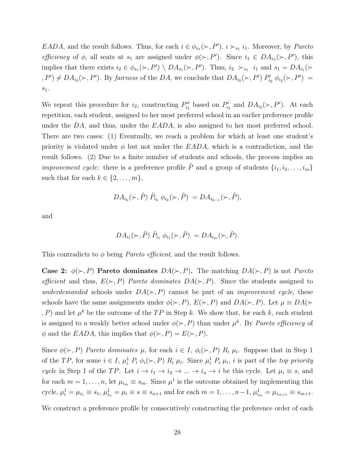EADA, and the result follows. Thus, for each  $i \in \phi_{s_1}(\succ, P')$ ,  $i \succ_{s_1} i_1$ . Moreover, by *Pareto* efficiency of  $\phi$ , all seats at  $s_1$  are assigned under  $\phi(\succ, P')$ . Since  $i_1 \in DA_{s_1}(\succ, P')$ , this implies that there exists  $i_2 \in \phi_{s_1}(\succ, P') \setminus DA_{s_1}(\succ, P')$ . Thus,  $i_2 \succ_{s_1} i_1$  and  $s_1 = DA_{i_1}(\succ$  $(P, P') \neq DA_{i_2}(\succ, P')$ . By fairness of the DA, we conclude that  $DA_{i_2}(\succ, P')$   $P'_{i_2}$   $\phi_{i_2}(\succ, P')$  =  $\boldsymbol{s}_1.$ 

We repeat this procedure for  $i_2$ , constructing  $P''_{i_2}$  based on  $P'_{i_2}$  and  $DA_{i_2}(\succ, P')$ . At each repetition, each student, assigned to her most preferred school in an earlier preference profile under the  $DA$ , and thus, under the  $EADA$ , is also assigned to her most preferred school. There are two cases: (1) Eventually, we reach a problem for which at least one student's priority is violated under  $\phi$  but not under the EADA, which is a contradiction, and the result follows. (2) Due to a finite number of students and schools, the process implies an *improvement cycle:* there is a preference profile  $\tilde{P}$  and a group of students  $\{i_1, i_2, \ldots, i_m\}$ such that for each  $k \in \{2, \ldots, m\},\$ 

$$
DA_{i_k}(\succ,\tilde{P})\tilde{P}_{i_k}\phi_{i_k}(\succ,\tilde{P})=DA_{i_{k-1}}(\succ,\tilde{P}),
$$

and

$$
DA_{i_1}(\succ,\tilde{P})\tilde{P}_{i_1}\phi_{i_1}(\succ,\tilde{P})=DA_{i_m}(\succ,\tilde{P}).
$$

This contradicts to  $\phi$  being *Pareto efficient*, and the result follows.

Case 2:  $\phi(\succ, P)$  Pareto dominates  $DA(\succ, P)$ . The matching  $DA(\succ, P)$  is not *Pareto* efficient and thus,  $E(\succ, P)$  Pareto dominates  $DA(\succ, P)$ . Since the students assigned to underdemanded schools under  $DA(\succ, P)$  cannot be part of an *improvement cycle*, these schools have the same assignments under  $\phi(\succ, P)$ ,  $E(\succ, P)$  and  $DA(\succ, P)$ . Let  $\mu \equiv DA(\succ)$ , P) and let  $\mu^k$  be the outcome of the TP in Step k. We show that, for each k, each student is assigned to a weakly better school under  $\phi(\succ, P)$  than under  $\mu^k$ . By *Pareto efficiency* of  $\phi$  and the *EADA*, this implies that  $\phi(\succ, P) = E(\succ, P)$ .

Since  $\phi(\succ, P)$  Pareto dominates  $\mu$ , for each  $i \in I$ ,  $\phi_i(\succ, P)$   $R_i$   $\mu_i$ . Suppose that in Step 1 of the TP, for some  $i \in I$ ,  $\mu_i^1$   $P_i$   $\phi_i(\succ, P)$   $R_i$   $\mu_i$ . Since  $\mu_i^1$   $P_i$   $\mu_i$ , i is part of the top priority cycle in Step 1 of the TP. Let  $i \to i_1 \to i_2 \to \dots \to i_n \to i$  be this cycle. Let  $\mu_i \equiv s$ , and for each  $m = 1, \ldots, n$ , let  $\mu_{i_m} \equiv s_m$ . Since  $\mu^1$  is the outcome obtained by implementing this cycle,  $\mu_i^1 = \mu_{i_1} \equiv s_1$ ,  $\mu_{i_n}^1 = \mu_i \equiv s \equiv s_{n+1}$  and for each  $m = 1, ..., n-1$ ,  $\mu_{i_m}^1 = \mu_{i_{m+1}} \equiv s_{m+1}$ .

We construct a preference profile by consecutively constructing the preference order of each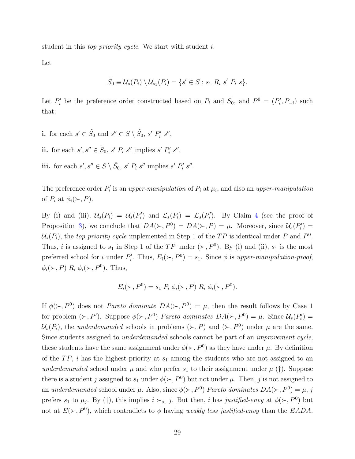student in this *top priority cycle*. We start with student *i*.

Let

$$
\tilde{S}_0 \equiv \mathcal{U}_s(P_i) \setminus \mathcal{U}_{s_1}(P_i) = \{s' \in S : s_1 \, R_i \, s' \, P_i \, s\}.
$$

Let  $P'_i$  be the preference order constructed based on  $P_i$  and  $\tilde{S}_0$ , and  $P^0 = (P'_i, P_{-i})$  such that:

**i.** for each  $s' \in \tilde{S}_0$  and  $s'' \in S \setminus \tilde{S}_0$ ,  $s' P'_i s''$ ,

ii. for each  $s', s'' \in \tilde{S}_0$ ,  $s' P_i s''$  implies  $s' P'_i s''$ ,

iii. for each  $s', s'' \in S \setminus \tilde{S}_0$ ,  $s' P_i s''$  implies  $s' P'_i s''$ .

The preference order  $P_i'$  is an upper-manipulation of  $P_i$  at  $\mu_i$ , and also an upper-manipulation of  $P_i$  at  $\phi_i(\succ, P)$ .

By (i) and (iii),  $\mathcal{U}_s(P_i) = \mathcal{U}_s(P'_i)$  and  $\mathcal{L}_s(P_i) = \mathcal{L}_s(P'_i)$ . By Claim [4](#page-24-3) (see the proof of Proposition [3\)](#page-11-0), we conclude that  $DA(\succ, P^0) = DA(\succ, P) = \mu$ . Moreover, since  $U_s(P'_i)$  $\mathcal{U}_s(P_i)$ , the top priority cycle implemented in Step 1 of the TP is identical under P and  $P^0$ . Thus, *i* is assigned to  $s_1$  in Step 1 of the TP under  $(\succ, P^0)$ . By (i) and (ii),  $s_1$  is the most preferred school for *i* under  $P'_i$ . Thus,  $E_i(\succ, P^0) = s_1$ . Since  $\phi$  is upper-manipulation-proof,  $\phi_i(\succ, P)$   $R_i$   $\phi_i(\succ, P^0)$ . Thus,

$$
E_i(\succ, P^0) = s_1 P_i \phi_i(\succ, P) R_i \phi_i(\succ, P^0).
$$

If  $\phi(\succ, P^0)$  does not *Pareto dominate*  $DA(\succ, P^0) = \mu$ , then the result follows by Case 1 for problem  $(\succ, P')$ . Suppose  $\phi(\succ, P^0)$  Pareto dominates  $DA(\succ, P^0) = \mu$ . Since  $\mathcal{U}_s(P'_i) =$  $\mathcal{U}_s(P_i)$ , the *underdemanded* schools in problems  $(\succ, P)$  and  $(\succ, P^0)$  under  $\mu$  are the same. Since students assigned to underdemanded schools cannot be part of an improvement cycle, these students have the same assignment under  $\phi(\succ, P^0)$  as they have under  $\mu$ . By definition of the  $TP$ , i has the highest priority at  $s_1$  among the students who are not assigned to an underdemanded school under  $\mu$  and who prefer  $s_1$  to their assignment under  $\mu$  (†). Suppose there is a student j assigned to  $s_1$  under  $\phi(\succ, P^0)$  but not under  $\mu$ . Then, j is not assigned to an underdemanded school under  $\mu$ . Also, since  $\phi(\succ, P^0)$  Pareto dominates  $DA(\succ, P^0) = \mu$ , j prefers  $s_1$  to  $\mu_j$ . By (†), this implies  $i \succ_{s_1} j$ . But then, i has justified-envy at  $\phi(\succ, P^0)$  but not at  $E(\succ, P^0)$ , which contradicts to  $\phi$  having weakly less justified-envy than the EADA.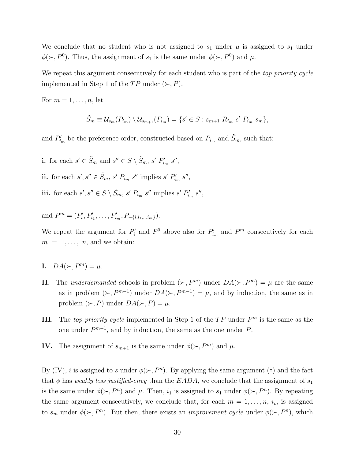We conclude that no student who is not assigned to  $s_1$  under  $\mu$  is assigned to  $s_1$  under  $\phi(\succ, P^0)$ . Thus, the assignment of  $s_1$  is the same under  $\phi(\succ, P^0)$  and  $\mu$ .

We repeat this argument consecutively for each student who is part of the top priority cycle implemented in Step 1 of the  $TP$  under  $(\succ, P)$ .

For  $m = 1, \ldots, n$ , let

$$
\tilde{S}_m \equiv \mathcal{U}_{s_m}(P_{i_m}) \setminus \mathcal{U}_{s_{m+1}}(P_{i_m}) = \{ s' \in S : s_{m+1} \ R_{i_m} \ s' \ P_{i_m} \ s_m \},
$$

and  $P'_{i_m}$  be the preference order, constructed based on  $P_{i_m}$  and  $\tilde{S}_m$ , such that:

**i.** for each  $s' \in \tilde{S}_m$  and  $s'' \in S \setminus \tilde{S}_m$ ,  $s' P'_{i_m} s''$ , ii. for each  $s', s'' \in \tilde{S}_m$ ,  $s' P_{i_m} s''$  implies  $s' P'_{i_m} s''$ , iii. for each  $s', s'' \in S \setminus \tilde{S}_m$ ,  $s' P_{i_m} s''$  implies  $s' P'_{i_m} s''$ ,

and  $P^m = (P'_i, P'_{i_1}, \ldots, P'_{i_m}, P_{-\{i, i_1, \ldots, i_m\}}).$ 

We repeat the argument for  $P'_i$  and  $P^0$  above also for  $P'_{i_m}$  and  $P^m$  consecutively for each  $m = 1, \ldots, n$ , and we obtain:

- I.  $DA(\succ, P^m) = \mu$ .
- II. The underdemanded schools in problem  $(\succ, P^m)$  under  $DA(\succ, P^m) = \mu$  are the same as in problem  $(\succ, P^{m-1})$  under  $DA(\succ, P^{m-1}) = \mu$ , and by induction, the same as in problem  $(\succ, P)$  under  $DA(\succ, P) = \mu$ .
- **III.** The top priority cycle implemented in Step 1 of the  $TP$  under  $P<sup>m</sup>$  is the same as the one under  $P^{m-1}$ , and by induction, the same as the one under P.
- **IV.** The assignment of  $s_{m+1}$  is the same under  $\phi(\succ, P^m)$  and  $\mu$ .

By (IV), *i* is assigned to *s* under  $\phi(\succ, P^n)$ . By applying the same argument (†) and the fact that  $\phi$  has weakly less justified-envy than the EADA, we conclude that the assignment of  $s_1$ is the same under  $\phi(\succ, P^n)$  and  $\mu$ . Then,  $i_1$  is assigned to  $s_1$  under  $\phi(\succ, P^n)$ . By repeating the same argument consecutively, we conclude that, for each  $m = 1, \ldots, n$ ,  $i_m$  is assigned to  $s_m$  under  $\phi(\succ, P^n)$ . But then, there exists an *improvement cycle* under  $\phi(\succ, P^n)$ , which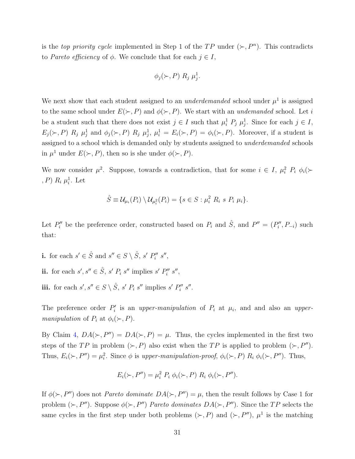is the *top priority cycle* implemented in Step 1 of the  $TP$  under  $(\succ, P^n)$ . This contradicts to Pareto efficiency of  $\phi$ . We conclude that for each  $j \in I$ ,

$$
\phi_j(\succ,P) R_j \mu_j^1.
$$

We next show that each student assigned to an *underdemanded* school under  $\mu^1$  is assigned to the same school under  $E(\succ, P)$  and  $\phi(\succ, P)$ . We start with an *undemanded* school. Let i be a student such that there does not exist  $j \in I$  such that  $\mu_i^1 P_j \mu_j^1$ . Since for each  $j \in I$ ,  $E_j(\succ, P)$   $R_j$   $\mu_j^1$  and  $\phi_j(\succ, P)$   $R_j$   $\mu_j^1$ ,  $\mu_i^1 = E_i(\succ, P) = \phi_i(\succ, P)$ . Moreover, if a student is assigned to a school which is demanded only by students assigned to underdemanded schools in  $\mu^1$  under  $E(\succ, P)$ , then so is she under  $\phi(\succ, P)$ .

We now consider  $\mu^2$ . Suppose, towards a contradiction, that for some  $i \in I$ ,  $\mu_i^2$   $P_i$   $\phi_i$   $\leftrightarrow$  $(P)$   $R_i$   $\mu_i^1$ . Let

$$
\hat{S} \equiv \mathcal{U}_{\mu_i}(P_i) \setminus \mathcal{U}_{\mu_i^2}(P_i) = \{ s \in S : \mu_i^2 R_i \ s \ P_i \ \mu_i \}.
$$

Let  $P''_i$  be the preference order, constructed based on  $P_i$  and  $\hat{S}$ , and  $P'' = (P''_i, P_{-i})$  such that:

- **i.** for each  $s' \in \hat{S}$  and  $s'' \in S \setminus \hat{S}$ ,  $s' P''_i s''$ ,
- ii. for each  $s, s' \in \hat{S}$ ,  $s' P_i s''$  implies  $s' P_i'' s''$ ,
- iii. for each  $s', s'' \in S \setminus \hat{S}$ ,  $s' P_i s''$  implies  $s' P''_i s''$ .

The preference order  $P'_i$  is an upper-manipulation of  $P_i$  at  $\mu_i$ , and and also an uppermanipulation of  $P_i$  at  $\phi_i(\succ, P)$ .

By Claim [4,](#page-24-3)  $DA(\succ, P'') = DA(\succ, P) = \mu$ . Thus, the cycles implemented in the first two steps of the TP in problem  $(\succ, P)$  also exist when the TP is applied to problem  $(\succ, P'')$ . Thus,  $E_i(\succ, P'') = \mu_i^2$ . Since  $\phi$  is upper-manipulation-proof,  $\phi_i(\succ, P)$   $R_i$   $\phi_i(\succ, P'')$ . Thus,

$$
E_i(\succ, P'') = \mu_i^2 P_i \phi_i(\succ, P) R_i \phi_i(\succ, P'').
$$

If  $\phi(\succ, P'')$  does not *Pareto dominate*  $DA(\succ, P'') = \mu$ , then the result follows by Case 1 for problem  $(\succ, P'')$ . Suppose  $\phi(\succ, P'')$  Pareto dominates  $DA(\succ, P'')$ . Since the TP selects the same cycles in the first step under both problems  $(\succ, P)$  and  $(\succ, P'')$ ,  $\mu^1$  is the matching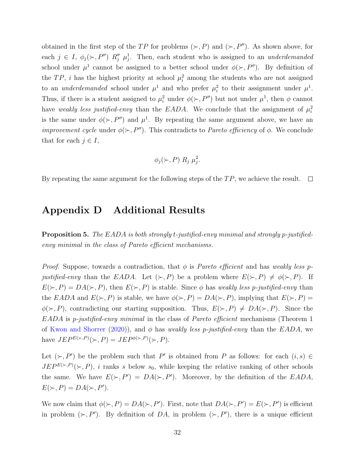obtained in the first step of the TP for problems  $(\succ, P)$  and  $(\succ, P'')$ . As shown above, for each  $j \in I$ ,  $\phi_j(\succ, P'')$   $R''_j$   $\mu_j^1$ . Then, each student who is assigned to an *underdemanded* school under  $\mu^1$  cannot be assigned to a better school under  $\phi(\succ, P'')$ . By definition of the TP, i has the highest priority at school  $\mu_i^2$  among the students who are not assigned to an *underdemanded* school under  $\mu^1$  and who prefer  $\mu_i^2$  to their assignment under  $\mu^1$ . Thus, if there is a student assigned to  $\mu_i^2$  under  $\phi(\succ, P'')$  but not under  $\mu^1$ , then  $\phi$  cannot have weakly less justified-envy than the EADA. We conclude that the assignment of  $\mu_i^2$ is the same under  $\phi(\succ, P'')$  and  $\mu^1$ . By repeating the same argument above, we have an *improvement cycle* under  $\phi(\succ, P'')$ . This contradicts to *Pareto efficiency* of  $\phi$ . We conclude that for each  $j \in I$ ,

$$
\phi_j(\succ,P) R_j \mu_j^2.
$$

By repeating the same argument for the following steps of the  $TP$ , we achieve the result.  $\Box$ 

## <span id="page-31-1"></span>Appendix D Additional Results

<span id="page-31-0"></span>Proposition 5. The EADA is both strongly t-justified-envy minimal and strongly p-justifiedenvy minimal in the class of Pareto efficient mechanisms.

*Proof.* Suppose, towards a contradiction, that  $\phi$  is *Pareto efficient* and has weakly less pjustified-envy than the EADA. Let  $(\succ, P)$  be a problem where  $E(\succ, P) \neq \phi(\succ, P)$ . If  $E(\succ, P) = DA(\succ, P)$ , then  $E(\succ, P)$  is stable. Since  $\phi$  has weakly less p-justified-envy than the EADA and  $E(\succ, P)$  is stable, we have  $\phi(\succ, P) = DA(\succ, P)$ , implying that  $E(\succ, P)$  $\phi(\succ, P)$ , contradicting our starting supposition. Thus,  $E(\succ, P) \neq DA(\succ, P)$ . Since the  $EADA$  is p-justified-envy minimal in the class of *Pareto efficient* mechanisms (Theorem 1) of [Kwon and Shorrer](#page-34-4) [\(2020\)](#page-34-4)), and  $\phi$  has weakly less p-justified-envy than the EADA, we have  $JEP^{E(\succ,P)}(\succ,P) = JEP^{\phi(\succ,P)}(\succ,P).$ 

Let  $(\succ, P')$  be the problem such that P' is obtained from P as follows: for each  $(i, s) \in$  $JEP^{E(\succ,P)}(\succ, P)$ , i ranks s below  $s_0$ , while keeping the relative ranking of other schools the same. We have  $E(\succ, P') = DA(\succ, P')$ . Moreover, by the definition of the EADA,  $E(\succ, P) = DA(\succ, P').$ 

We now claim that  $\phi(\succ, P) = DA(\succ, P')$ . First, note that  $DA(\succ, P') = E(\succ, P')$  is efficient in problem  $(\succ, P')$ . By definition of DA, in problem  $(\succ, P')$ , there is a unique efficient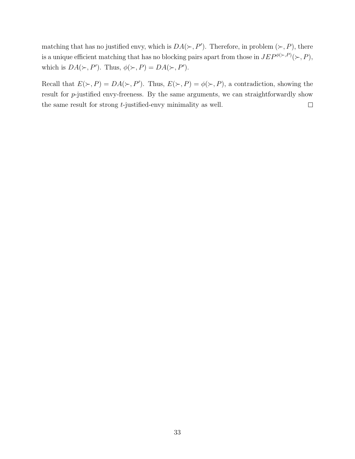matching that has no justified envy, which is  $DA(\succ, P')$ . Therefore, in problem  $(\succ, P)$ , there is a unique efficient matching that has no blocking pairs apart from those in  $JEP^{\phi(\succ,P)}(\succ,P)$ , which is  $DA(\succ, P')$ . Thus,  $\phi(\succ, P) = DA(\succ, P')$ .

Recall that  $E(\succ, P) = DA(\succ, P')$ . Thus,  $E(\succ, P) = \phi(\succ, P)$ , a contradiction, showing the result for p-justified envy-freeness. By the same arguments, we can straightforwardly show the same result for strong t-justified-envy minimality as well.  $\Box$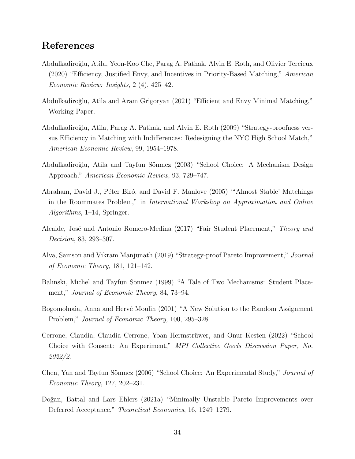# References

- <span id="page-33-5"></span>Abdulkadiro˘glu, Atila, Yeon-Koo Che, Parag A. Pathak, Alvin E. Roth, and Olivier Tercieux (2020) "Efficiency, Justified Envy, and Incentives in Priority-Based Matching," American Economic Review: Insights, 2 (4), 425–42.
- <span id="page-33-7"></span>Abdulkadiro˘glu, Atila and Aram Grigoryan (2021) "Efficient and Envy Minimal Matching," Working Paper.
- <span id="page-33-1"></span>Abdulkadiro˘glu, Atila, Parag A. Pathak, and Alvin E. Roth (2009) "Strategy-proofness versus Efficiency in Matching with Indifferences: Redesigning the NYC High School Match," American Economic Review, 99, 1954–1978.
- <span id="page-33-3"></span>Abdulkadiroğlu, Atila and Tayfun Sönmez (2003) "School Choice: A Mechanism Design Approach," American Economic Review, 93, 729–747.
- <span id="page-33-6"></span>Abraham, David J., Péter Biró, and David F. Manlove (2005) "'Almost Stable' Matchings in the Roommates Problem," in International Workshop on Approximation and Online Algorithms, 1–14, Springer.
- <span id="page-33-4"></span>Alcalde, José and Antonio Romero-Medina (2017) "Fair Student Placement," Theory and Decision, 83, 293–307.
- <span id="page-33-8"></span>Alva, Samson and Vikram Manjunath (2019) "Strategy-proof Pareto Improvement," Journal of Economic Theory, 181, 121–142.
- <span id="page-33-0"></span>Balinski, Michel and Tayfun Sönmez (1999) "A Tale of Two Mechanisms: Student Placement," Journal of Economic Theory, 84, 73–94.
- <span id="page-33-9"></span>Bogomolnaia, Anna and Hervé Moulin (2001) "A New Solution to the Random Assignment Problem," Journal of Economic Theory, 100, 295–328.
- <span id="page-33-11"></span>Cerrone, Claudia, Claudia Cerrone, Yoan Hermstrüwer, and Onur Kesten (2022) "School Choice with Consent: An Experiment," MPI Collective Goods Discussion Paper, No. 2022/2.
- <span id="page-33-10"></span>Chen, Yan and Tayfun Sönmez (2006) "School Choice: An Experimental Study," Journal of Economic Theory, 127, 202–231.
- <span id="page-33-2"></span>Doğan, Battal and Lars Ehlers (2021a) "Minimally Unstable Pareto Improvements over Deferred Acceptance," Theoretical Economics, 16, 1249–1279.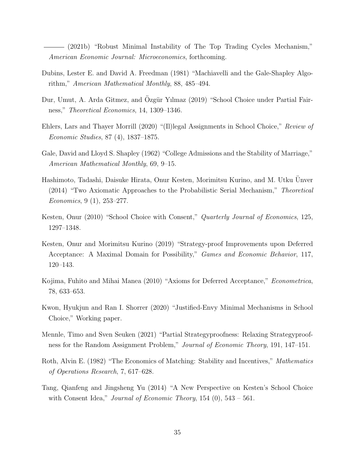<span id="page-34-7"></span>(2021b) "Robust Minimal Instability of The Top Trading Cycles Mechanism," American Economic Journal: Microeconomics, forthcoming.

- <span id="page-34-2"></span>Dubins, Lester E. and David A. Freedman (1981) "Machiavelli and the Gale-Shapley Algorithm," American Mathematical Monthly, 88, 485–494.
- <span id="page-34-6"></span>Dur, Umut, A. Arda Gitmez, and Ozgür Yılmaz (2019) "School Choice under Partial Fairness," Theoretical Economics, 14, 1309–1346.
- <span id="page-34-5"></span>Ehlers, Lars and Thayer Morrill (2020) "(Il)legal Assignments in School Choice," Review of Economic Studies, 87 (4), 1837–1875.
- <span id="page-34-1"></span>Gale, David and Lloyd S. Shapley (1962) "College Admissions and the Stability of Marriage," American Mathematical Monthly, 69, 9–15.
- <span id="page-34-9"></span>Hashimoto, Tadashi, Daisuke Hirata, Onur Kesten, Morimitsu Kurino, and M. Utku Unver ¨ (2014) "Two Axiomatic Approaches to the Probabilistic Serial Mechanism," Theoretical Economics, 9 (1), 253–277.
- <span id="page-34-3"></span>Kesten, Onur (2010) "School Choice with Consent," *Quarterly Journal of Economics*, 125, 1297–1348.
- <span id="page-34-8"></span>Kesten, Onur and Morimitsu Kurino (2019) "Strategy-proof Improvements upon Deferred Acceptance: A Maximal Domain for Possibility," Games and Economic Behavior, 117, 120–143.
- <span id="page-34-12"></span>Kojima, Fuhito and Mihai Manea (2010) "Axioms for Deferred Acceptance," Econometrica, 78, 633–653.
- <span id="page-34-4"></span>Kwon, Hyukjun and Ran I. Shorrer (2020) "Justified-Envy Minimal Mechanisms in School Choice," Working paper.
- <span id="page-34-10"></span>Mennle, Timo and Sven Seuken (2021) "Partial Strategyproofness: Relaxing Strategyproofness for the Random Assignment Problem," Journal of Economic Theory, 191, 147–151.
- <span id="page-34-0"></span>Roth, Alvin E. (1982) "The Economics of Matching: Stability and Incentives," Mathematics of Operations Research, 7, 617–628.
- <span id="page-34-11"></span>Tang, Qianfeng and Jingsheng Yu (2014) "A New Perspective on Kesten's School Choice with Consent Idea," Journal of Economic Theory,  $154$  (0),  $543 - 561$ .